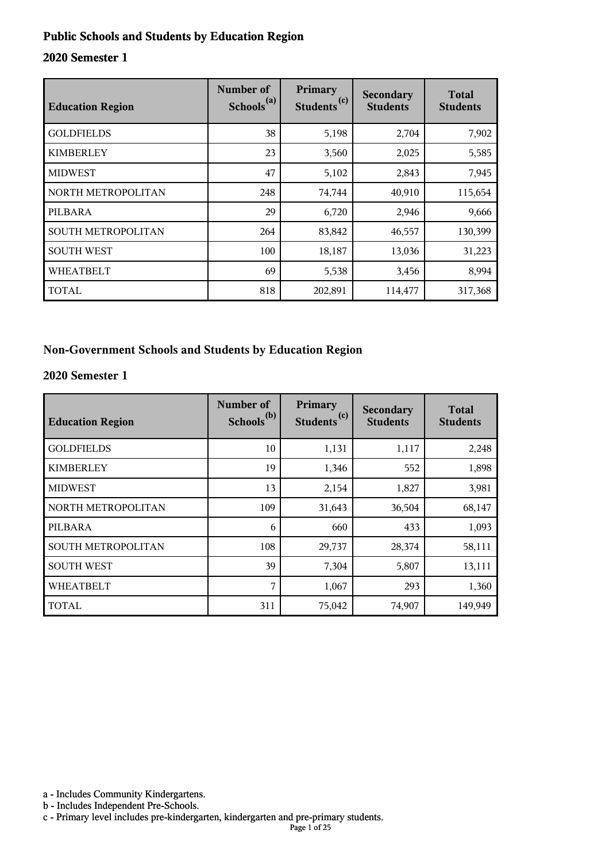#### **Public Schools and Students by Education Region**

#### **2020 Semester 1**

| <b>Education Region</b>   | Number of<br>Schools <sup>(a)</sup> | Primary<br>(c)<br><b>Students</b> | Secondary<br><b>Students</b> | <b>Total</b><br><b>Students</b> |
|---------------------------|-------------------------------------|-----------------------------------|------------------------------|---------------------------------|
| <b>GOLDFIELDS</b>         | 38                                  | 5,198                             | 2,704                        | 7,902                           |
| <b>KIMBERLEY</b>          | 23                                  | 3,560                             | 2,025                        | 5,585                           |
| <b>MIDWEST</b>            | 47                                  | 5,102                             | 2,843                        | 7,945                           |
| NORTH METROPOLITAN        | 248                                 | 74,744                            | 40,910                       | 115,654                         |
| PILBARA                   | 29                                  | 6,720                             | 2,946                        | 9,666                           |
| <b>SOUTH METROPOLITAN</b> | 264                                 | 83,842                            | 46,557                       | 130,399                         |
| <b>SOUTH WEST</b>         | 100                                 | 18,187                            | 13,036                       | 31,223                          |
| <b>WHEATBELT</b>          | 69                                  | 5,538                             | 3,456                        | 8,994                           |
| TOTAL                     | 818                                 | 202,891                           | 114,477                      | 317,368                         |

#### **Non-Government Schools and Students by Education Region**

#### **2020 Semester 1**

| <b>Education Region</b> | Number of<br>Schools <sup>(b)</sup> | Primary<br>Students <sup>(c)</sup> | <b>Secondary</b><br><b>Students</b> | <b>Total</b><br><b>Students</b> |
|-------------------------|-------------------------------------|------------------------------------|-------------------------------------|---------------------------------|
| <b>GOLDFIELDS</b>       | 10                                  | 1,131                              | 1,117                               | 2,248                           |
| <b>KIMBERLEY</b>        | 19                                  | 1,346                              | 552                                 | 1,898                           |
| <b>MIDWEST</b>          | 13                                  | 2,154                              | 1,827                               | 3,981                           |
| NORTH METROPOLITAN      | 109                                 | 31,643                             | 36,504                              | 68,147                          |
| PILBARA                 | 6                                   | 660                                | 433                                 | 1,093                           |
| SOUTH METROPOLITAN      | 108                                 | 29,737                             | 28,374                              | 58,111                          |
| <b>SOUTH WEST</b>       | 39                                  | 7,304                              | 5,807                               | 13,111                          |
| <b>WHEATBELT</b>        | 7                                   | 1,067                              | 293                                 | 1,360                           |
| <b>TOTAL</b>            | 311                                 | 75,042                             | 74,907                              | 149,949                         |

a - Includes Community Kindergartens.

b - Includes Independent Pre-Schools.

c - Primary level includes pre-kindergarten, kindergarten and pre-primary students.

Page 1 of 25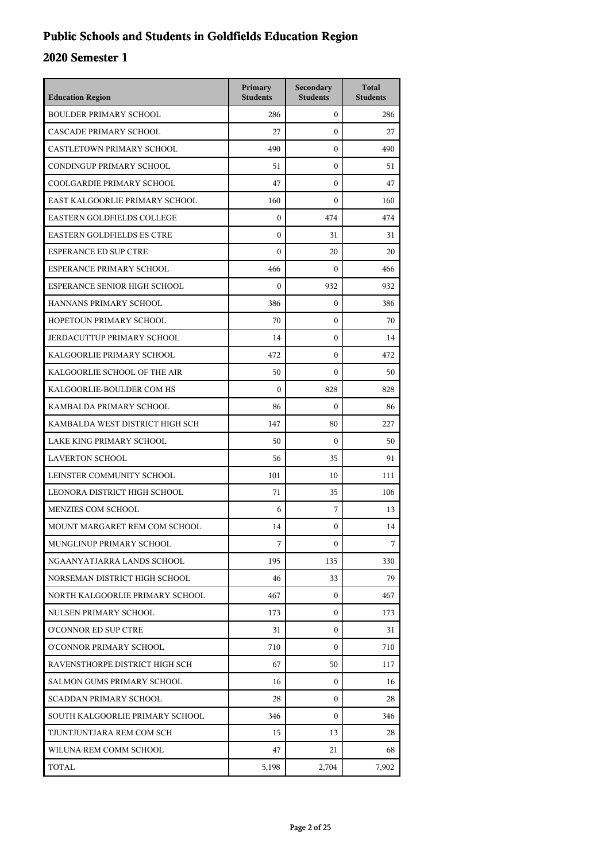## **Public Schools and Students in Goldfields Education Region**

| <b>Education Region</b>           | Primary<br><b>Students</b> | Secondary<br><b>Students</b> | <b>Total</b><br><b>Students</b> |
|-----------------------------------|----------------------------|------------------------------|---------------------------------|
| <b>BOULDER PRIMARY SCHOOL</b>     | 286                        | $\mathbf{0}$                 | 286                             |
| CASCADE PRIMARY SCHOOL            | 27                         | $\mathbf{0}$                 | 27                              |
| CASTLETOWN PRIMARY SCHOOL         | 490                        | $\mathbf{0}$                 | 490                             |
| CONDINGUP PRIMARY SCHOOL          | 51                         | $\mathbf{0}$                 | 51                              |
| COOLGARDIE PRIMARY SCHOOL         | 47                         | $\mathbf{0}$                 | 47                              |
| EAST KALGOORLIE PRIMARY SCHOOL    | 160                        | $\mathbf{0}$                 | 160                             |
| EASTERN GOLDFIELDS COLLEGE        | $\mathbf{0}$               | 474                          | 474                             |
| <b>EASTERN GOLDFIELDS ES CTRE</b> | $\mathbf{0}$               | 31                           | 31                              |
| <b>ESPERANCE ED SUP CTRE</b>      | $\mathbf{0}$               | 20                           | 20                              |
| ESPERANCE PRIMARY SCHOOL          | 466                        | $\Omega$                     | 466                             |
| ESPERANCE SENIOR HIGH SCHOOL      | $\mathbf{0}$               | 932                          | 932                             |
| HANNANS PRIMARY SCHOOL            | 386                        | $\mathbf{0}$                 | 386                             |
| HOPETOUN PRIMARY SCHOOL           | 70                         | $\mathbf{0}$                 | 70                              |
| JERDACUTTUP PRIMARY SCHOOL        | 14                         | $\mathbf{0}$                 | 14                              |
| KALGOORLIE PRIMARY SCHOOL         | 472                        | $\boldsymbol{0}$             | 472                             |
| KALGOORLIE SCHOOL OF THE AIR      | 50                         | $\Omega$                     | 50                              |
| KALGOORLIE-BOULDER COM HS         | $\mathbf{0}$               | 828                          | 828                             |
| KAMBALDA PRIMARY SCHOOL           | 86                         | $\mathbf{0}$                 | 86                              |
| KAMBALDA WEST DISTRICT HIGH SCH   | 147                        | 80                           | 227                             |
| LAKE KING PRIMARY SCHOOL          | 50                         | $\boldsymbol{0}$             | 50                              |
| <b>LAVERTON SCHOOL</b>            | 56                         | 35                           | 91                              |
| LEINSTER COMMUNITY SCHOOL         | 101                        | 10                           | 111                             |
| LEONORA DISTRICT HIGH SCHOOL      | 71                         | 35                           | 106                             |
| <b>MENZIES COM SCHOOL</b>         | 6                          | 7                            | 13                              |
| MOUNT MARGARET REM COM SCHOOL     | 14                         | $\mathbf{0}$                 | 14                              |
| MUNGLINUP PRIMARY SCHOOL          | 7                          | 0                            | 7                               |
| NGAANYATJARRA LANDS SCHOOL        | 195                        | 135                          | 330                             |
| NORSEMAN DISTRICT HIGH SCHOOL     | 46                         | 33                           | 79                              |
| NORTH KALGOORLIE PRIMARY SCHOOL   | 467                        | $\mathbf{0}$                 | 467                             |
| NULSEN PRIMARY SCHOOL             | 173                        | $\mathbf{0}$                 | 173                             |
| O'CONNOR ED SUP CTRE              | 31                         | $\mathbf{0}$                 | 31                              |
| O'CONNOR PRIMARY SCHOOL           | 710                        | $\mathbf{0}$                 | 710                             |
| RAVENSTHORPE DISTRICT HIGH SCH    | 67                         | 50                           | 117                             |
| SALMON GUMS PRIMARY SCHOOL        | 16                         | $\mathbf{0}$                 | 16                              |
| <b>SCADDAN PRIMARY SCHOOL</b>     | 28                         | $\mathbf{0}$                 | 28                              |
| SOUTH KALGOORLIE PRIMARY SCHOOL   | 346                        | 0                            | 346                             |
| TJUNTJUNTJARA REM COM SCH         | 15                         | 13                           | 28                              |
| WILUNA REM COMM SCHOOL            | 47                         | 21                           | 68                              |
| TOTAL                             | 5,198                      | 2,704                        | 7,902                           |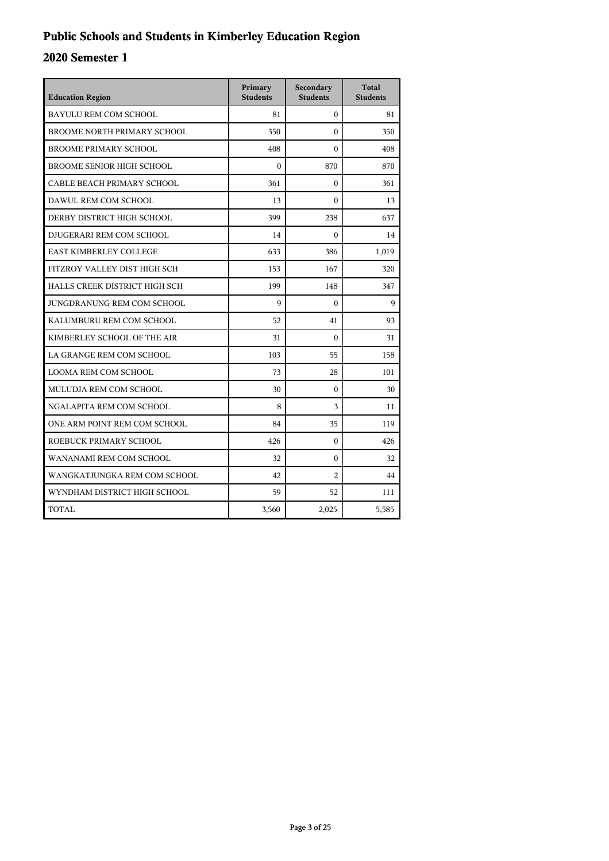## **Public Schools and Students in Kimberley Education Region**

| <b>Education Region</b>            | Primary<br><b>Students</b> | Secondary<br><b>Students</b> | <b>Total</b><br><b>Students</b> |
|------------------------------------|----------------------------|------------------------------|---------------------------------|
| BAYULU REM COM SCHOOL              | 81                         | $\Omega$                     | 81                              |
| <b>BROOME NORTH PRIMARY SCHOOL</b> | 350                        | $\theta$                     | 350                             |
| <b>BROOME PRIMARY SCHOOL</b>       | 408                        | $\Omega$                     | 408                             |
| <b>BROOME SENIOR HIGH SCHOOL</b>   | $\theta$                   | 870                          | 870                             |
| CABLE BEACH PRIMARY SCHOOL         | 361                        | $\theta$                     | 361                             |
| DAWUL REM COM SCHOOL               | 13                         | $\theta$                     | 13                              |
| DERBY DISTRICT HIGH SCHOOL         | 399                        | 238                          | 637                             |
| DJUGERARI REM COM SCHOOL           | 14                         | $\Omega$                     | 14                              |
| EAST KIMBERLEY COLLEGE             | 633                        | 386                          | 1,019                           |
| FITZROY VALLEY DIST HIGH SCH       | 153                        | 167                          | 320                             |
| HALLS CREEK DISTRICT HIGH SCH      | 199                        | 148                          | 347                             |
| JUNGDRANUNG REM COM SCHOOL         | 9                          | $\Omega$                     | $\mathbf Q$                     |
| KALUMBURU REM COM SCHOOL           | 52                         | 41                           | 93                              |
| KIMBERLEY SCHOOL OF THE AIR        | 31                         | $\theta$                     | 31                              |
| LA GRANGE REM COM SCHOOL           | 103                        | 55                           | 158                             |
| <b>LOOMA REM COM SCHOOL</b>        | 73                         | 28                           | 101                             |
| MULUDJA REM COM SCHOOL             | 30                         | $\Omega$                     | 30                              |
| NGALAPITA REM COM SCHOOL           | 8                          | 3                            | 11                              |
| ONE ARM POINT REM COM SCHOOL       | 84                         | 35                           | 119                             |
| ROEBUCK PRIMARY SCHOOL             | 426                        | $\mathbf{0}$                 | 426                             |
| WANANAMI REM COM SCHOOL            | 32                         | $\mathbf{0}$                 | 32                              |
| WANGKATJUNGKA REM COM SCHOOL       | 42                         | $\overline{2}$               | 44                              |
| WYNDHAM DISTRICT HIGH SCHOOL       | 59                         | 52                           | 111                             |
| TOTAL                              | 3,560                      | 2,025                        | 5,585                           |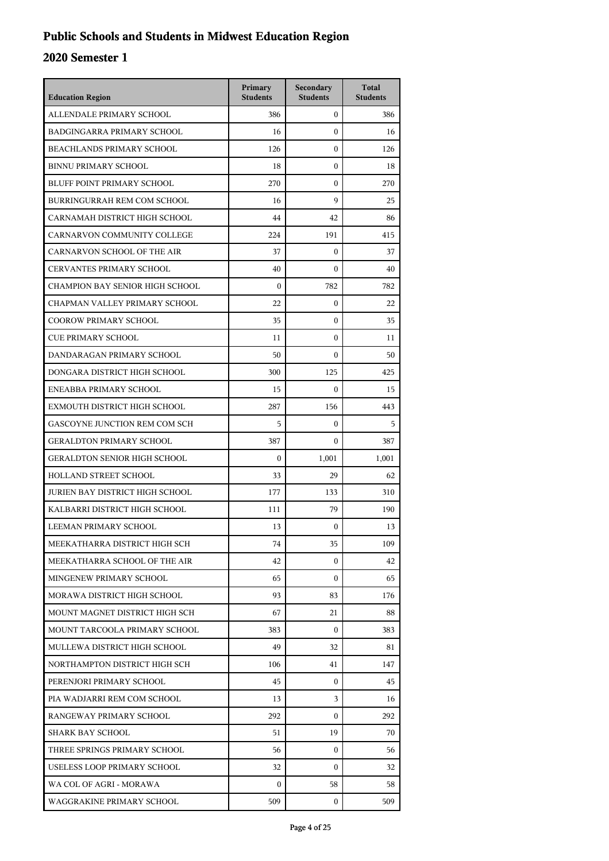## **Public Schools and Students in Midwest Education Region**

| <b>Education Region</b>             | Primary<br><b>Students</b> | Secondary<br><b>Students</b> | <b>Total</b><br><b>Students</b> |
|-------------------------------------|----------------------------|------------------------------|---------------------------------|
| ALLENDALE PRIMARY SCHOOL            | 386                        | $\mathbf{0}$                 | 386                             |
| <b>BADGINGARRA PRIMARY SCHOOL</b>   | 16                         | $\mathbf{0}$                 | 16                              |
| <b>BEACHLANDS PRIMARY SCHOOL</b>    | 126                        | $\mathbf{0}$                 | 126                             |
| <b>BINNU PRIMARY SCHOOL</b>         | 18                         | $\mathbf{0}$                 | 18                              |
| <b>BLUFF POINT PRIMARY SCHOOL</b>   | 270                        | $\boldsymbol{0}$             | 270                             |
| BURRINGURRAH REM COM SCHOOL         | 16                         | 9                            | 25                              |
| CARNAMAH DISTRICT HIGH SCHOOL       | 44                         | 42                           | 86                              |
| CARNARVON COMMUNITY COLLEGE         | 224                        | 191                          | 415                             |
| CARNARVON SCHOOL OF THE AIR         | 37                         | $\mathbf{0}$                 | 37                              |
| <b>CERVANTES PRIMARY SCHOOL</b>     | 40                         | $\boldsymbol{0}$             | 40                              |
| CHAMPION BAY SENIOR HIGH SCHOOL     | $\boldsymbol{0}$           | 782                          | 782                             |
| CHAPMAN VALLEY PRIMARY SCHOOL       | 22                         | $\mathbf{0}$                 | 22                              |
| <b>COOROW PRIMARY SCHOOL</b>        | 35                         | $\mathbf{0}$                 | 35                              |
| <b>CUE PRIMARY SCHOOL</b>           | 11                         | $\mathbf{0}$                 | 11                              |
| DANDARAGAN PRIMARY SCHOOL           | 50                         | $\boldsymbol{0}$             | 50                              |
| DONGARA DISTRICT HIGH SCHOOL        | 300                        | 125                          | 425                             |
| ENEABBA PRIMARY SCHOOL              | 15                         | $\mathbf{0}$                 | 15                              |
| EXMOUTH DISTRICT HIGH SCHOOL        | 287                        | 156                          | 443                             |
| GASCOYNE JUNCTION REM COM SCH       | 5                          | $\mathbf{0}$                 | 5                               |
| <b>GERALDTON PRIMARY SCHOOL</b>     | 387                        | $\Omega$                     | 387                             |
| <b>GERALDTON SENIOR HIGH SCHOOL</b> | $\mathbf{0}$               | 1,001                        | 1,001                           |
| HOLLAND STREET SCHOOL               | 33                         | 29                           | 62                              |
| JURIEN BAY DISTRICT HIGH SCHOOL     | 177                        | 133                          | 310                             |
| KALBARRI DISTRICT HIGH SCHOOL       | 111                        | 79                           | 190                             |
| LEEMAN PRIMARY SCHOOL               | 13                         | $\mathbf{0}$                 | 13                              |
| MEEKATHARRA DISTRICT HIGH SCH       | 74                         | 35                           | 109                             |
| MEEKATHARRA SCHOOL OF THE AIR       | 42                         | $\overline{0}$               | 42                              |
| MINGENEW PRIMARY SCHOOL             | 65                         | $\overline{0}$               | 65                              |
| MORAWA DISTRICT HIGH SCHOOL         | 93                         | 83                           | 176                             |
| MOUNT MAGNET DISTRICT HIGH SCH      | 67                         | 21                           | 88                              |
| MOUNT TARCOOLA PRIMARY SCHOOL       | 383                        | $\mathbf{0}$                 | 383                             |
| MULLEWA DISTRICT HIGH SCHOOL        | 49                         | 32                           | 81                              |
| NORTHAMPTON DISTRICT HIGH SCH       | 106                        | 41                           | 147                             |
| PERENJORI PRIMARY SCHOOL            | 45                         | $\mathbf{0}$                 | 45                              |
| PIA WADJARRI REM COM SCHOOL         | 13                         | 3                            | 16                              |
| RANGEWAY PRIMARY SCHOOL             | 292                        | $\mathbf{0}$                 | 292                             |
| SHARK BAY SCHOOL                    | 51                         | 19                           | 70                              |
| THREE SPRINGS PRIMARY SCHOOL        | 56                         | $\overline{0}$               | 56                              |
| USELESS LOOP PRIMARY SCHOOL         | 32                         | $\mathbf{0}$                 | 32                              |
| WA COL OF AGRI - MORAWA             | 0                          | 58                           | 58                              |
| WAGGRAKINE PRIMARY SCHOOL           | 509                        | $\mathbf{0}$                 | 509                             |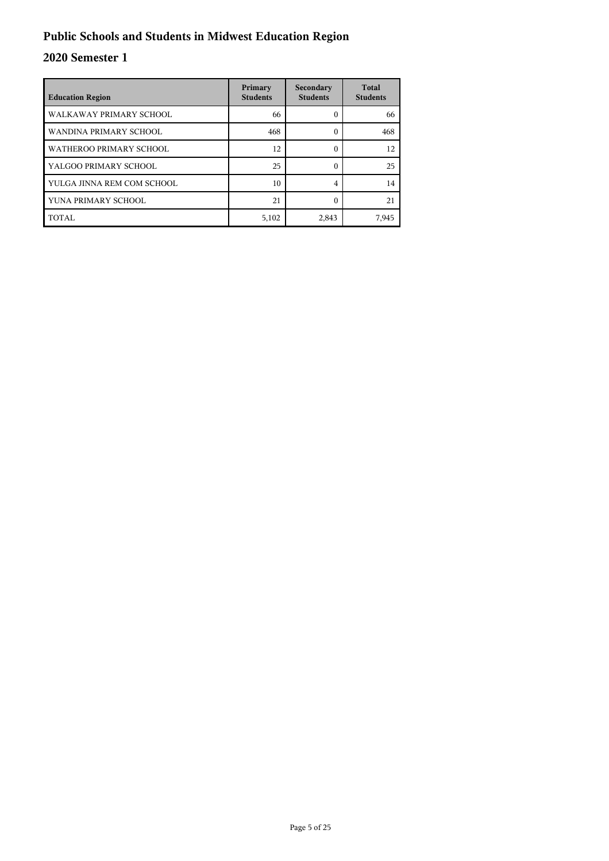## **Public Schools and Students in Midwest Education Region**

| <b>Education Region</b>    | Primary<br><b>Students</b> | Secondary<br><b>Students</b> | <b>Total</b><br><b>Students</b> |
|----------------------------|----------------------------|------------------------------|---------------------------------|
| WALKAWAY PRIMARY SCHOOL    | 66                         | 0                            | 66                              |
| WANDINA PRIMARY SCHOOL     | 468                        | 0                            | 468                             |
| WATHEROO PRIMARY SCHOOL    | 12                         | 0                            | 12                              |
| YALGOO PRIMARY SCHOOL      | 25                         | 0                            | 25                              |
| YULGA JINNA REM COM SCHOOL | 10                         | 4                            | 14                              |
| YUNA PRIMARY SCHOOL        | 21                         | ſ                            | 21                              |
| TOTAL                      | 5,102                      | 2,843                        | 7,945                           |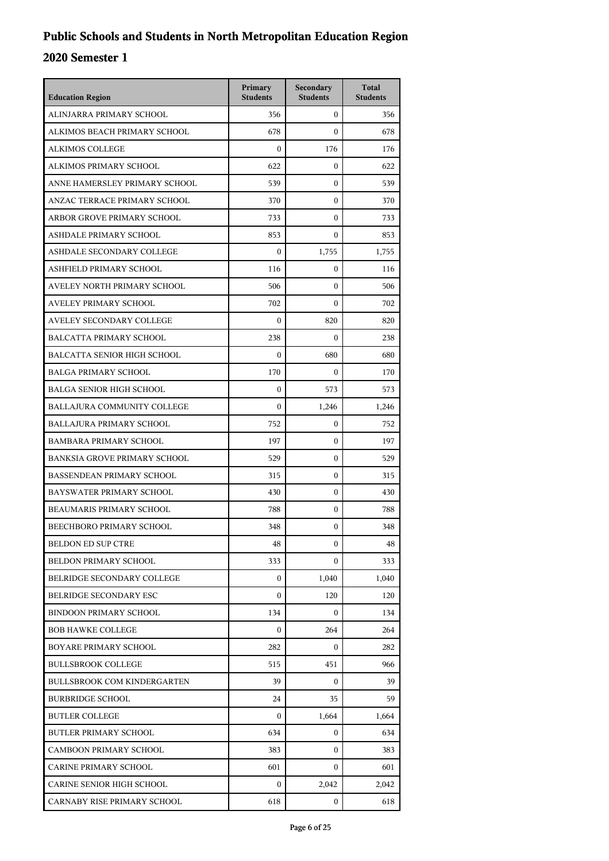| <b>Education Region</b>             | Primary<br><b>Students</b> | Secondary<br><b>Students</b> | <b>Total</b><br><b>Students</b> |
|-------------------------------------|----------------------------|------------------------------|---------------------------------|
| ALINJARRA PRIMARY SCHOOL            | 356                        | $\mathbf{0}$                 | 356                             |
| ALKIMOS BEACH PRIMARY SCHOOL        | 678                        | $\Omega$                     | 678                             |
| ALKIMOS COLLEGE                     | $\mathbf{0}$               | 176                          | 176                             |
| ALKIMOS PRIMARY SCHOOL              | 622                        | $\mathbf{0}$                 | 622                             |
| ANNE HAMERSLEY PRIMARY SCHOOL       | 539                        | 0                            | 539                             |
| ANZAC TERRACE PRIMARY SCHOOL        | 370                        | $\mathbf{0}$                 | 370                             |
| ARBOR GROVE PRIMARY SCHOOL          | 733                        | $\mathbf{0}$                 | 733                             |
| ASHDALE PRIMARY SCHOOL              | 853                        | $\mathbf{0}$                 | 853                             |
| ASHDALE SECONDARY COLLEGE           | $\mathbf{0}$               | 1,755                        | 1,755                           |
| ASHFIELD PRIMARY SCHOOL             | 116                        | $\mathbf{0}$                 | 116                             |
| AVELEY NORTH PRIMARY SCHOOL         | 506                        | $\Omega$                     | 506                             |
| AVELEY PRIMARY SCHOOL               | 702                        | $\mathbf{0}$                 | 702                             |
| AVELEY SECONDARY COLLEGE            | $\mathbf{0}$               | 820                          | 820                             |
| <b>BALCATTA PRIMARY SCHOOL</b>      | 238                        | $\mathbf{0}$                 | 238                             |
| <b>BALCATTA SENIOR HIGH SCHOOL</b>  | $\boldsymbol{0}$           | 680                          | 680                             |
| <b>BALGA PRIMARY SCHOOL</b>         | 170                        | $\mathbf{0}$                 | 170                             |
| <b>BALGA SENIOR HIGH SCHOOL</b>     | $\mathbf{0}$               | 573                          | 573                             |
| BALLAJURA COMMUNITY COLLEGE         | $\mathbf{0}$               | 1,246                        | 1,246                           |
| <b>BALLAJURA PRIMARY SCHOOL</b>     | 752                        | $\mathbf{0}$                 | 752                             |
| <b>BAMBARA PRIMARY SCHOOL</b>       | 197                        | $\mathbf{0}$                 | 197                             |
| <b>BANKSIA GROVE PRIMARY SCHOOL</b> | 529                        | $\mathbf{0}$                 | 529                             |
| <b>BASSENDEAN PRIMARY SCHOOL</b>    | 315                        | $\mathbf{0}$                 | 315                             |
| BAYSWATER PRIMARY SCHOOL            | 430                        | $\mathbf{0}$                 | 430                             |
| <b>BEAUMARIS PRIMARY SCHOOL</b>     | 788                        | $\mathbf{0}$                 | 788                             |
| <b>BEECHBORO PRIMARY SCHOOL</b>     | 348                        | $\mathbf{0}$                 | 348                             |
| <b>BELDON ED SUP CTRE</b>           | 48                         | 0                            | 48                              |
| <b>BELDON PRIMARY SCHOOL</b>        | 333                        | $\mathbf{0}$                 | 333                             |
| BELRIDGE SECONDARY COLLEGE          | $\mathbf{0}$               | 1,040                        | 1,040                           |
| BELRIDGE SECONDARY ESC              | $\mathbf{0}$               | 120                          | 120                             |
| <b>BINDOON PRIMARY SCHOOL</b>       | 134                        | $\mathbf{0}$                 | 134                             |
| <b>BOB HAWKE COLLEGE</b>            | $\mathbf{0}$               | 264                          | 264                             |
| BOYARE PRIMARY SCHOOL               | 282                        | $\overline{0}$               | 282                             |
| <b>BULLSBROOK COLLEGE</b>           | 515                        | 451                          | 966                             |
| <b>BULLSBROOK COM KINDERGARTEN</b>  | 39                         | $\overline{0}$               | 39                              |
| <b>BURBRIDGE SCHOOL</b>             | 24                         | 35                           | 59                              |
| <b>BUTLER COLLEGE</b>               | $\mathbf{0}$               | 1,664                        | 1,664                           |
| <b>BUTLER PRIMARY SCHOOL</b>        | 634                        | 0                            | 634                             |
| <b>CAMBOON PRIMARY SCHOOL</b>       | 383                        | $\mathbf{0}$                 | 383                             |
| CARINE PRIMARY SCHOOL               | 601                        | $\mathbf{0}$                 | 601                             |
| CARINE SENIOR HIGH SCHOOL           | $\mathbf{0}$               | 2,042                        | 2,042                           |
| CARNABY RISE PRIMARY SCHOOL         | 618                        | 0                            | 618                             |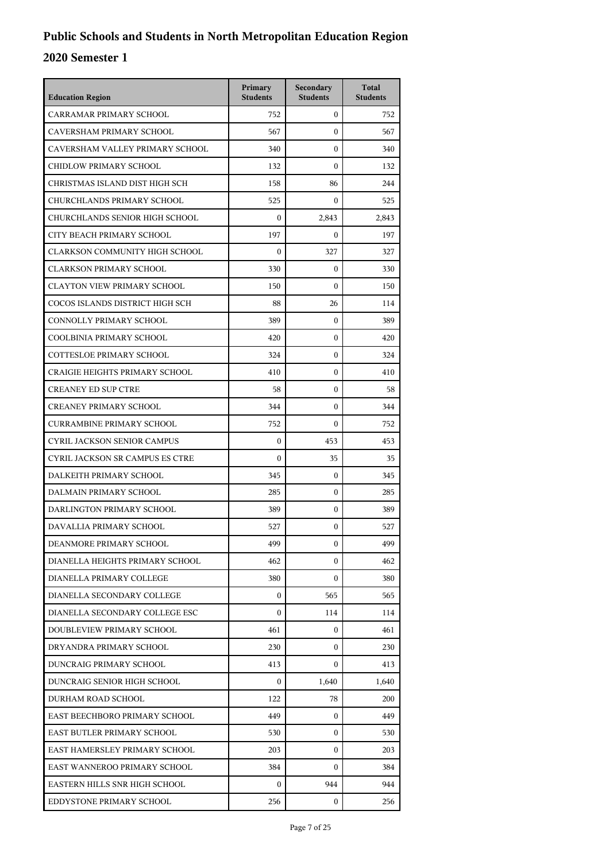| <b>Education Region</b>               | Primary<br><b>Students</b> | Secondary<br><b>Students</b> | <b>Total</b><br><b>Students</b> |
|---------------------------------------|----------------------------|------------------------------|---------------------------------|
| CARRAMAR PRIMARY SCHOOL               | 752                        | $\overline{0}$               | 752                             |
| CAVERSHAM PRIMARY SCHOOL              | 567                        | $\mathbf{0}$                 | 567                             |
| CAVERSHAM VALLEY PRIMARY SCHOOL       | 340                        | $\mathbf{0}$                 | 340                             |
| CHIDLOW PRIMARY SCHOOL                | 132                        | $\mathbf{0}$                 | 132                             |
| CHRISTMAS ISLAND DIST HIGH SCH        | 158                        | 86                           | 244                             |
| CHURCHLANDS PRIMARY SCHOOL            | 525                        | $\mathbf{0}$                 | 525                             |
| CHURCHLANDS SENIOR HIGH SCHOOL        | $\boldsymbol{0}$           | 2,843                        | 2.843                           |
| CITY BEACH PRIMARY SCHOOL             | 197                        | $\mathbf{0}$                 | 197                             |
| <b>CLARKSON COMMUNITY HIGH SCHOOL</b> | $\boldsymbol{0}$           | 327                          | 327                             |
| <b>CLARKSON PRIMARY SCHOOL</b>        | 330                        | $\mathbf{0}$                 | 330                             |
| <b>CLAYTON VIEW PRIMARY SCHOOL</b>    | 150                        | $\mathbf{0}$                 | 150                             |
| COCOS ISLANDS DISTRICT HIGH SCH       | 88                         | 26                           | 114                             |
| CONNOLLY PRIMARY SCHOOL               | 389                        | $\mathbf{0}$                 | 389                             |
| COOLBINIA PRIMARY SCHOOL              | 420                        | $\mathbf{0}$                 | 420                             |
| COTTESLOE PRIMARY SCHOOL              | 324                        | 0                            | 324                             |
| <b>CRAIGIE HEIGHTS PRIMARY SCHOOL</b> | 410                        | $\mathbf{0}$                 | 410                             |
| <b>CREANEY ED SUP CTRE</b>            | 58                         | $\mathbf{0}$                 | 58                              |
| CREANEY PRIMARY SCHOOL                | 344                        | $\mathbf{0}$                 | 344                             |
| <b>CURRAMBINE PRIMARY SCHOOL</b>      | 752                        | $\mathbf{0}$                 | 752                             |
| <b>CYRIL JACKSON SENIOR CAMPUS</b>    | $\boldsymbol{0}$           | 453                          | 453                             |
| CYRIL JACKSON SR CAMPUS ES CTRE       | $\mathbf{0}$               | 35                           | 35                              |
| DALKEITH PRIMARY SCHOOL               | 345                        | $\mathbf{0}$                 | 345                             |
| DALMAIN PRIMARY SCHOOL                | 285                        | $\mathbf{0}$                 | 285                             |
| DARLINGTON PRIMARY SCHOOL             | 389                        | $\mathbf{0}$                 | 389                             |
| DAVALLIA PRIMARY SCHOOL               | 527                        | $\mathbf{0}$                 | 527                             |
| DEANMORE PRIMARY SCHOOL               | 499                        | 0                            | 499                             |
| DIANELLA HEIGHTS PRIMARY SCHOOL       | 462                        | $\mathbf{0}$                 | 462                             |
| DIANELLA PRIMARY COLLEGE              | 380                        | $\overline{0}$               | 380                             |
| DIANELLA SECONDARY COLLEGE            | $\mathbf{0}$               | 565                          | 565                             |
| DIANELLA SECONDARY COLLEGE ESC        | $\boldsymbol{0}$           | 114                          | 114                             |
| DOUBLEVIEW PRIMARY SCHOOL             | 461                        | $\mathbf{0}$                 | 461                             |
| DRYANDRA PRIMARY SCHOOL               | 230                        | $\overline{0}$               | 230                             |
| DUNCRAIG PRIMARY SCHOOL               | 413                        | $\overline{0}$               | 413                             |
| DUNCRAIG SENIOR HIGH SCHOOL           | $\mathbf{0}$               | 1,640                        | 1,640                           |
| DURHAM ROAD SCHOOL                    | 122                        | 78                           | 200                             |
| EAST BEECHBORO PRIMARY SCHOOL         | 449                        | $\mathbf{0}$                 | 449                             |
| EAST BUTLER PRIMARY SCHOOL            | 530                        | $\overline{0}$               | 530                             |
| EAST HAMERSLEY PRIMARY SCHOOL         | 203                        | $\overline{0}$               | 203                             |
| EAST WANNEROO PRIMARY SCHOOL          | 384                        | 0                            | 384                             |
| EASTERN HILLS SNR HIGH SCHOOL         | 0                          | 944                          | 944                             |
| EDDYSTONE PRIMARY SCHOOL              | 256                        | $\mathbf{0}$                 | 256                             |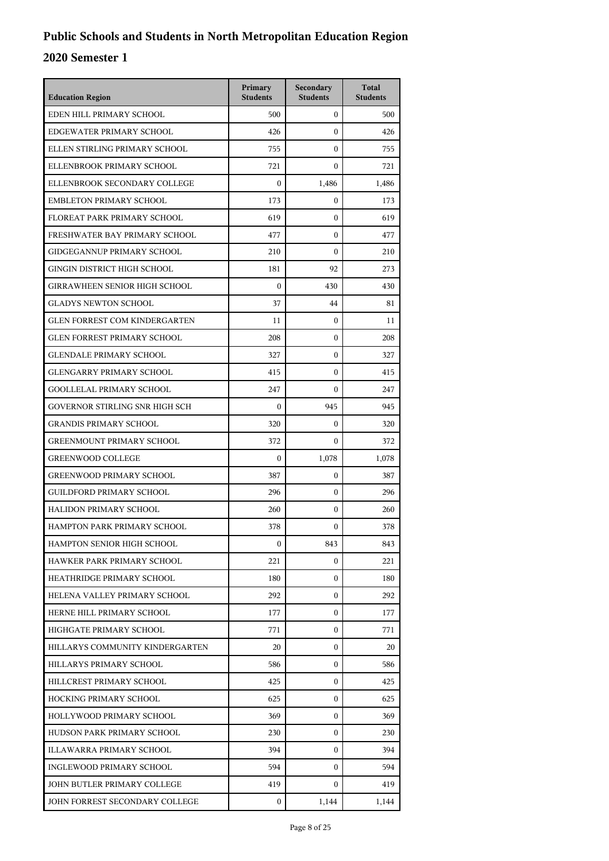| <b>Education Region</b>              | Primary<br><b>Students</b> | Secondary<br><b>Students</b> | <b>Total</b><br><b>Students</b> |
|--------------------------------------|----------------------------|------------------------------|---------------------------------|
| EDEN HILL PRIMARY SCHOOL             | 500                        | $\mathbf{0}$                 | 500                             |
| EDGEWATER PRIMARY SCHOOL             | 426                        | $\mathbf{0}$                 | 426                             |
| ELLEN STIRLING PRIMARY SCHOOL        | 755                        | $\mathbf{0}$                 | 755                             |
| ELLENBROOK PRIMARY SCHOOL            | 721                        | $\boldsymbol{0}$             | 721                             |
| ELLENBROOK SECONDARY COLLEGE         | $\boldsymbol{0}$           | 1,486                        | 1,486                           |
| EMBLETON PRIMARY SCHOOL              | 173                        | $\boldsymbol{0}$             | 173                             |
| FLOREAT PARK PRIMARY SCHOOL          | 619                        | $\mathbf{0}$                 | 619                             |
| FRESHWATER BAY PRIMARY SCHOOL        | 477                        | $\mathbf{0}$                 | 477                             |
| GIDGEGANNUP PRIMARY SCHOOL           | 210                        | $\boldsymbol{0}$             | 210                             |
| GINGIN DISTRICT HIGH SCHOOL          | 181                        | 92                           | 273                             |
| <b>GIRRAWHEEN SENIOR HIGH SCHOOL</b> | $\boldsymbol{0}$           | 430                          | 430                             |
| <b>GLADYS NEWTON SCHOOL</b>          | 37                         | 44                           | 81                              |
| <b>GLEN FORREST COM KINDERGARTEN</b> | 11                         | $\boldsymbol{0}$             | 11                              |
| <b>GLEN FORREST PRIMARY SCHOOL</b>   | 208                        | $\boldsymbol{0}$             | 208                             |
| <b>GLENDALE PRIMARY SCHOOL</b>       | 327                        | $\boldsymbol{0}$             | 327                             |
| <b>GLENGARRY PRIMARY SCHOOL</b>      | 415                        | $\mathbf{0}$                 | 415                             |
| GOOLLELAL PRIMARY SCHOOL             | 247                        | $\mathbf{0}$                 | 247                             |
| GOVERNOR STIRLING SNR HIGH SCH       | $\mathbf{0}$               | 945                          | 945                             |
| <b>GRANDIS PRIMARY SCHOOL</b>        | 320                        | $\mathbf{0}$                 | 320                             |
| <b>GREENMOUNT PRIMARY SCHOOL</b>     | 372                        | $\Omega$                     | 372                             |
| <b>GREENWOOD COLLEGE</b>             | $\mathbf{0}$               | 1,078                        | 1,078                           |
| <b>GREENWOOD PRIMARY SCHOOL</b>      | 387                        | $\mathbf{0}$                 | 387                             |
| <b>GUILDFORD PRIMARY SCHOOL</b>      | 296                        | $\mathbf{0}$                 | 296                             |
| HALIDON PRIMARY SCHOOL               | 260                        | $\mathbf{0}$                 | 260                             |
| HAMPTON PARK PRIMARY SCHOOL          | 378                        | $\mathbf{0}$                 | 378                             |
| HAMPTON SENIOR HIGH SCHOOL           | $\mathbf{0}$               | 843                          | 843                             |
| HAWKER PARK PRIMARY SCHOOL           | 221                        | 0                            | 221                             |
| HEATHRIDGE PRIMARY SCHOOL            | 180                        | $\mathbf{0}$                 | 180                             |
| HELENA VALLEY PRIMARY SCHOOL         | 292                        | 0                            | 292                             |
| HERNE HILL PRIMARY SCHOOL            | 177                        | 0                            | 177                             |
| HIGHGATE PRIMARY SCHOOL              | 771                        | 0                            | 771                             |
| HILLARYS COMMUNITY KINDERGARTEN      | 20                         | $\mathbf{0}$                 | 20                              |
| HILLARYS PRIMARY SCHOOL              | 586                        | 0                            | 586                             |
| HILLCREST PRIMARY SCHOOL             | 425                        | 0                            | 425                             |
| <b>HOCKING PRIMARY SCHOOL</b>        | 625                        | 0                            | 625                             |
| HOLLYWOOD PRIMARY SCHOOL             | 369                        | 0                            | 369                             |
| HUDSON PARK PRIMARY SCHOOL           | 230                        | $\mathbf{0}$                 | 230                             |
| ILLAWARRA PRIMARY SCHOOL             | 394                        | 0                            | 394                             |
| INGLEWOOD PRIMARY SCHOOL             | 594                        | 0                            | 594                             |
| JOHN BUTLER PRIMARY COLLEGE          | 419                        | 0                            | 419                             |
| JOHN FORREST SECONDARY COLLEGE       | $\mathbf{0}$               | 1,144                        | 1,144                           |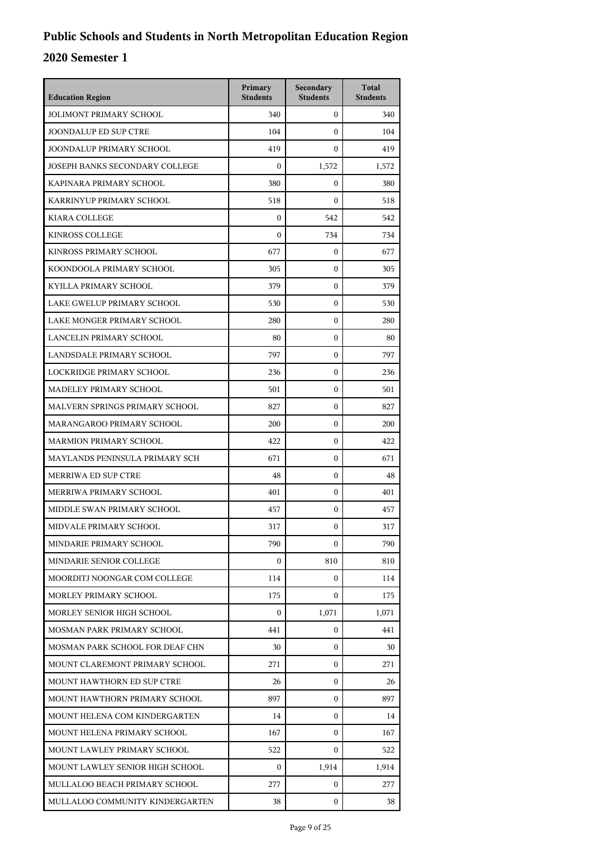| <b>Education Region</b>         | Primary<br><b>Students</b> | Secondary<br><b>Students</b> | <b>Total</b><br><b>Students</b> |
|---------------------------------|----------------------------|------------------------------|---------------------------------|
| <b>JOLIMONT PRIMARY SCHOOL</b>  | 340                        | $\mathbf{0}$                 | 340                             |
| <b>JOONDALUP ED SUP CTRE</b>    | 104                        | $\mathbf{0}$                 | 104                             |
| JOONDALUP PRIMARY SCHOOL        | 419                        | $\mathbf{0}$                 | 419                             |
| JOSEPH BANKS SECONDARY COLLEGE  | $\boldsymbol{0}$           | 1,572                        | 1,572                           |
| KAPINARA PRIMARY SCHOOL         | 380                        | 0                            | 380                             |
| KARRINYUP PRIMARY SCHOOL        | 518                        | $\mathbf{0}$                 | 518                             |
| <b>KIARA COLLEGE</b>            | $\boldsymbol{0}$           | 542                          | 542                             |
| <b>KINROSS COLLEGE</b>          | $\theta$                   | 734                          | 734                             |
| KINROSS PRIMARY SCHOOL          | 677                        | $\mathbf{0}$                 | 677                             |
| KOONDOOLA PRIMARY SCHOOL        | 305                        | 0                            | 305                             |
| KYILLA PRIMARY SCHOOL           | 379                        | $\mathbf{0}$                 | 379                             |
| LAKE GWELUP PRIMARY SCHOOL      | 530                        | $\mathbf{0}$                 | 530                             |
| LAKE MONGER PRIMARY SCHOOL      | 280                        | $\mathbf{0}$                 | 280                             |
| <b>LANCELIN PRIMARY SCHOOL</b>  | 80                         | $\mathbf{0}$                 | 80                              |
| LANDSDALE PRIMARY SCHOOL        | 797                        | 0                            | 797                             |
| LOCKRIDGE PRIMARY SCHOOL        | 236                        | $\mathbf{0}$                 | 236                             |
| MADELEY PRIMARY SCHOOL          | 501                        | $\mathbf{0}$                 | 501                             |
| MALVERN SPRINGS PRIMARY SCHOOL  | 827                        | $\mathbf{0}$                 | 827                             |
| MARANGAROO PRIMARY SCHOOL       | 200                        | $\mathbf{0}$                 | 200                             |
| <b>MARMION PRIMARY SCHOOL</b>   | 422                        | 0                            | 422                             |
| MAYLANDS PENINSULA PRIMARY SCH  | 671                        | $\mathbf{0}$                 | 671                             |
| MERRIWA ED SUP CTRE             | 48                         | $\mathbf{0}$                 | 48                              |
| MERRIWA PRIMARY SCHOOL          | 401                        | $\mathbf{0}$                 | 401                             |
| MIDDLE SWAN PRIMARY SCHOOL      | 457                        | $\mathbf{0}$                 | 457                             |
| MIDVALE PRIMARY SCHOOL          | 317                        | $\mathbf{0}$                 | 317                             |
| MINDARIE PRIMARY SCHOOL         | 790                        | 0                            | 790                             |
| MINDARIE SENIOR COLLEGE         | $\overline{0}$             | 810                          | 810                             |
| MOORDITJ NOONGAR COM COLLEGE    | 114                        | $\overline{0}$               | 114                             |
| MORLEY PRIMARY SCHOOL           | 175                        | $\overline{0}$               | 175                             |
| MORLEY SENIOR HIGH SCHOOL       | $\mathbf{0}$               | 1,071                        | 1,071                           |
| MOSMAN PARK PRIMARY SCHOOL      | 441                        | $\overline{0}$               | 441                             |
| MOSMAN PARK SCHOOL FOR DEAF CHN | 30                         | $\overline{0}$               | 30                              |
| MOUNT CLAREMONT PRIMARY SCHOOL  | 271                        | $\overline{0}$               | 271                             |
| MOUNT HAWTHORN ED SUP CTRE      | 26                         | $\mathbf{0}$                 | 26                              |
| MOUNT HAWTHORN PRIMARY SCHOOL   | 897                        | $\mathbf{0}$                 | 897                             |
| MOUNT HELENA COM KINDERGARTEN   | 14                         | $\overline{0}$               | 14                              |
| MOUNT HELENA PRIMARY SCHOOL     | 167                        | $\overline{0}$               | 167                             |
| MOUNT LAWLEY PRIMARY SCHOOL     | 522                        | $\overline{0}$               | 522                             |
| MOUNT LAWLEY SENIOR HIGH SCHOOL | $\overline{0}$             | 1,914                        | 1,914                           |
| MULLALOO BEACH PRIMARY SCHOOL   | 277                        | $\overline{0}$               | 277                             |
| MULLALOO COMMUNITY KINDERGARTEN | 38                         | $\overline{0}$               | 38                              |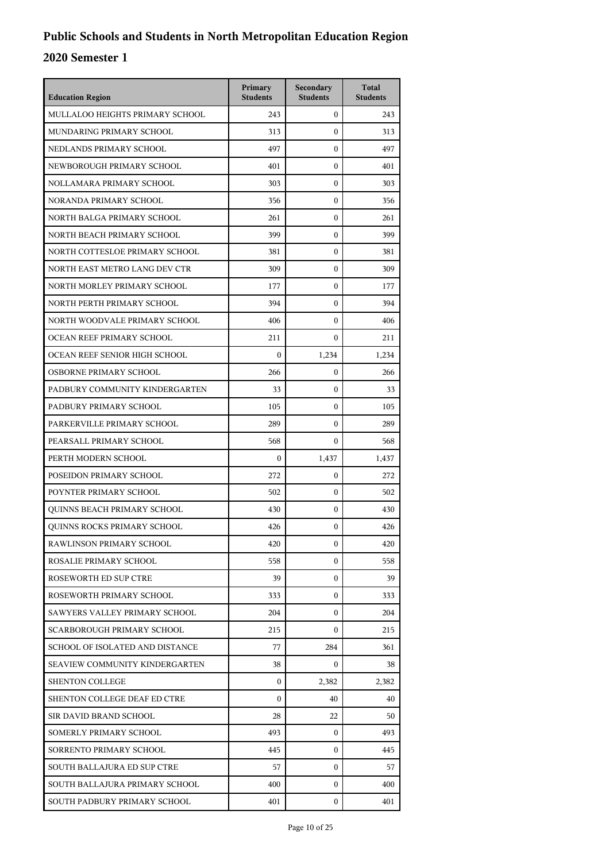| <b>Education Region</b>            | Primary<br><b>Students</b> | Secondary<br><b>Students</b> | <b>Total</b><br><b>Students</b> |
|------------------------------------|----------------------------|------------------------------|---------------------------------|
| MULLALOO HEIGHTS PRIMARY SCHOOL    | 243                        | $\mathbf{0}$                 | 243                             |
| MUNDARING PRIMARY SCHOOL           | 313                        | $\mathbf{0}$                 | 313                             |
| NEDLANDS PRIMARY SCHOOL            | 497                        | $\mathbf{0}$                 | 497                             |
| NEWBOROUGH PRIMARY SCHOOL          | 401                        | $\mathbf{0}$                 | 401                             |
| NOLLAMARA PRIMARY SCHOOL           | 303                        | $\mathbf{0}$                 | 303                             |
| NORANDA PRIMARY SCHOOL             | 356                        | $\mathbf{0}$                 | 356                             |
| NORTH BALGA PRIMARY SCHOOL         | 261                        | $\mathbf{0}$                 | 261                             |
| NORTH BEACH PRIMARY SCHOOL         | 399                        | $\mathbf{0}$                 | 399                             |
| NORTH COTTESLOE PRIMARY SCHOOL     | 381                        | $\mathbf{0}$                 | 381                             |
| NORTH EAST METRO LANG DEV CTR      | 309                        | 0                            | 309                             |
| NORTH MORLEY PRIMARY SCHOOL        | 177                        | $\mathbf{0}$                 | 177                             |
| NORTH PERTH PRIMARY SCHOOL         | 394                        | $\mathbf{0}$                 | 394                             |
| NORTH WOODVALE PRIMARY SCHOOL      | 406                        | $\mathbf{0}$                 | 406                             |
| OCEAN REEF PRIMARY SCHOOL          | 211                        | $\mathbf{0}$                 | 211                             |
| OCEAN REEF SENIOR HIGH SCHOOL      | $\boldsymbol{0}$           | 1,234                        | 1,234                           |
| OSBORNE PRIMARY SCHOOL             | 266                        | 0                            | 266                             |
| PADBURY COMMUNITY KINDERGARTEN     | 33                         | $\mathbf{0}$                 | 33                              |
| PADBURY PRIMARY SCHOOL             | 105                        | $\mathbf{0}$                 | 105                             |
| PARKERVILLE PRIMARY SCHOOL         | 289                        | $\mathbf{0}$                 | 289                             |
| PEARSALL PRIMARY SCHOOL            | 568                        | $\mathbf{0}$                 | 568                             |
| PERTH MODERN SCHOOL                | $\mathbf{0}$               | 1,437                        | 1,437                           |
| POSEIDON PRIMARY SCHOOL            | 272                        | $\mathbf{0}$                 | 272                             |
| POYNTER PRIMARY SCHOOL             | 502                        | $\mathbf{0}$                 | 502                             |
| QUINNS BEACH PRIMARY SCHOOL        | 430                        | $\mathbf{0}$                 | 430                             |
| <b>OUINNS ROCKS PRIMARY SCHOOL</b> | 426                        | 0                            | 426                             |
| RAWLINSON PRIMARY SCHOOL           | 420                        | $\mathbf{0}$                 | 420                             |
| ROSALIE PRIMARY SCHOOL             | 558                        | $\mathbf{0}$                 | 558                             |
| ROSEWORTH ED SUP CTRE              | 39                         | $\mathbf{0}$                 | 39                              |
| ROSEWORTH PRIMARY SCHOOL           | 333                        | 0                            | 333                             |
| SAWYERS VALLEY PRIMARY SCHOOL      | 204                        | 0                            | 204                             |
| SCARBOROUGH PRIMARY SCHOOL         | 215                        | 0                            | 215                             |
| SCHOOL OF ISOLATED AND DISTANCE    | 77                         | 284                          | 361                             |
| SEAVIEW COMMUNITY KINDERGARTEN     | 38                         | 0                            | 38                              |
| <b>SHENTON COLLEGE</b>             | $\mathbf{0}$               | 2,382                        | 2,382                           |
| SHENTON COLLEGE DEAF ED CTRE       | 0                          | 40                           | 40                              |
| SIR DAVID BRAND SCHOOL             | 28                         | 22                           | 50                              |
| SOMERLY PRIMARY SCHOOL             | 493                        | $\mathbf{0}$                 | 493                             |
| SORRENTO PRIMARY SCHOOL            | 445                        | $\mathbf{0}$                 | 445                             |
| SOUTH BALLAJURA ED SUP CTRE        | 57                         | 0                            | 57                              |
| SOUTH BALLAJURA PRIMARY SCHOOL     | 400                        | 0                            | 400                             |
| SOUTH PADBURY PRIMARY SCHOOL       | 401                        | $\mathbf{0}$                 | 401                             |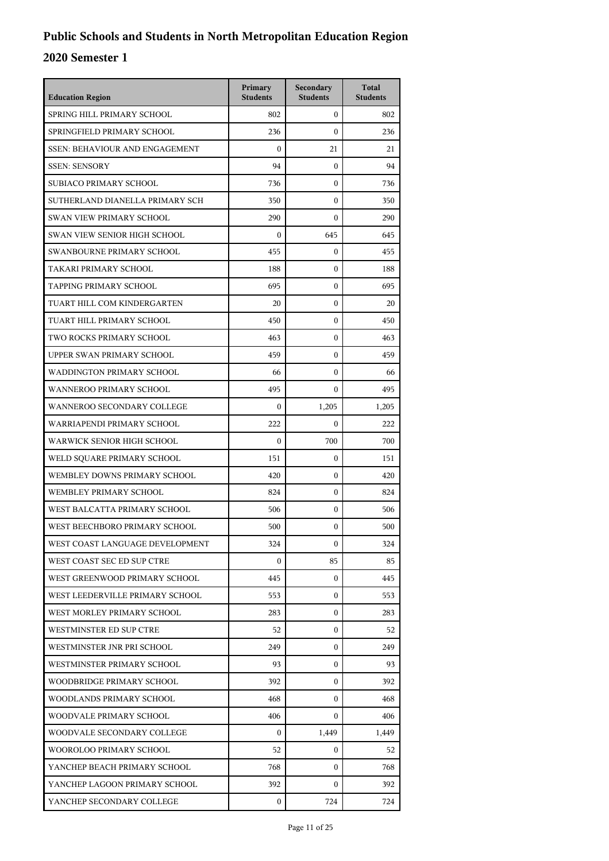| <b>Education Region</b>               | Primary<br><b>Students</b> | Secondary<br><b>Students</b> | <b>Total</b><br><b>Students</b> |
|---------------------------------------|----------------------------|------------------------------|---------------------------------|
| SPRING HILL PRIMARY SCHOOL            | 802                        | $\mathbf{0}$                 | 802                             |
| SPRINGFIELD PRIMARY SCHOOL            | 236                        | $\Omega$                     | 236                             |
| <b>SSEN: BEHAVIOUR AND ENGAGEMENT</b> | $\boldsymbol{0}$           | 21                           | 21                              |
| <b>SSEN: SENSORY</b>                  | 94                         | $\mathbf{0}$                 | 94                              |
| SUBIACO PRIMARY SCHOOL                | 736                        | $\boldsymbol{0}$             | 736                             |
| SUTHERLAND DIANELLA PRIMARY SCH       | 350                        | $\mathbf{0}$                 | 350                             |
| <b>SWAN VIEW PRIMARY SCHOOL</b>       | 290                        | $\mathbf{0}$                 | 290                             |
| <b>SWAN VIEW SENIOR HIGH SCHOOL</b>   | $\boldsymbol{0}$           | 645                          | 645                             |
| SWANBOURNE PRIMARY SCHOOL             | 455                        | $\boldsymbol{0}$             | 455                             |
| TAKARI PRIMARY SCHOOL                 | 188                        | $\boldsymbol{0}$             | 188                             |
| <b>TAPPING PRIMARY SCHOOL</b>         | 695                        | $\mathbf{0}$                 | 695                             |
| TUART HILL COM KINDERGARTEN           | 20                         | $\mathbf{0}$                 | 20                              |
| TUART HILL PRIMARY SCHOOL             | 450                        | $\mathbf{0}$                 | 450                             |
| TWO ROCKS PRIMARY SCHOOL              | 463                        | $\boldsymbol{0}$             | 463                             |
| UPPER SWAN PRIMARY SCHOOL             | 459                        | $\boldsymbol{0}$             | 459                             |
| WADDINGTON PRIMARY SCHOOL             | 66                         | $\mathbf{0}$                 | 66                              |
| WANNEROO PRIMARY SCHOOL               | 495                        | $\Omega$                     | 495                             |
| WANNEROO SECONDARY COLLEGE            | $\boldsymbol{0}$           | 1,205                        | 1,205                           |
| WARRIAPENDI PRIMARY SCHOOL            | 222                        | $\mathbf{0}$                 | 222                             |
| WARWICK SENIOR HIGH SCHOOL            | $\boldsymbol{0}$           | 700                          | 700                             |
| WELD SQUARE PRIMARY SCHOOL            | 151                        | $\mathbf{0}$                 | 151                             |
| WEMBLEY DOWNS PRIMARY SCHOOL          | 420                        | $\mathbf{0}$                 | 420                             |
| WEMBLEY PRIMARY SCHOOL                | 824                        | $\mathbf{0}$                 | 824                             |
| WEST BALCATTA PRIMARY SCHOOL          | 506                        | $\boldsymbol{0}$             | 506                             |
| WEST BEECHBORO PRIMARY SCHOOL         | 500                        | $\boldsymbol{0}$             | 500                             |
| WEST COAST LANGUAGE DEVELOPMENT       | 324                        | $\mathbf{0}$                 | 324                             |
| WEST COAST SEC ED SUP CTRE            | $\Omega$                   | 85                           | 85                              |
| WEST GREENWOOD PRIMARY SCHOOL         | 445                        | $\overline{0}$               | 445                             |
| WEST LEEDERVILLE PRIMARY SCHOOL       | 553                        | 0                            | 553                             |
| WEST MORLEY PRIMARY SCHOOL            | 283                        | $\mathbf{0}$                 | 283                             |
| WESTMINSTER ED SUP CTRE               | 52                         | $\mathbf{0}$                 | 52                              |
| WESTMINSTER JNR PRI SCHOOL            | 249                        | $\mathbf{0}$                 | 249                             |
| WESTMINSTER PRIMARY SCHOOL            | 93                         | $\overline{0}$               | 93                              |
| WOODBRIDGE PRIMARY SCHOOL             | 392                        | 0                            | 392                             |
| WOODLANDS PRIMARY SCHOOL              | 468                        | $\mathbf{0}$                 | 468                             |
| WOODVALE PRIMARY SCHOOL               | 406                        | $\mathbf{0}$                 | 406                             |
| WOODVALE SECONDARY COLLEGE            | $\mathbf{0}$               | 1,449                        | 1,449                           |
| WOOROLOO PRIMARY SCHOOL               | 52                         | $\overline{0}$               | 52                              |
| YANCHEP BEACH PRIMARY SCHOOL          | 768                        | $\mathbf{0}$                 | 768                             |
| YANCHEP LAGOON PRIMARY SCHOOL         | 392                        | $\Omega$                     | 392                             |
| YANCHEP SECONDARY COLLEGE             | 0                          | 724                          | 724                             |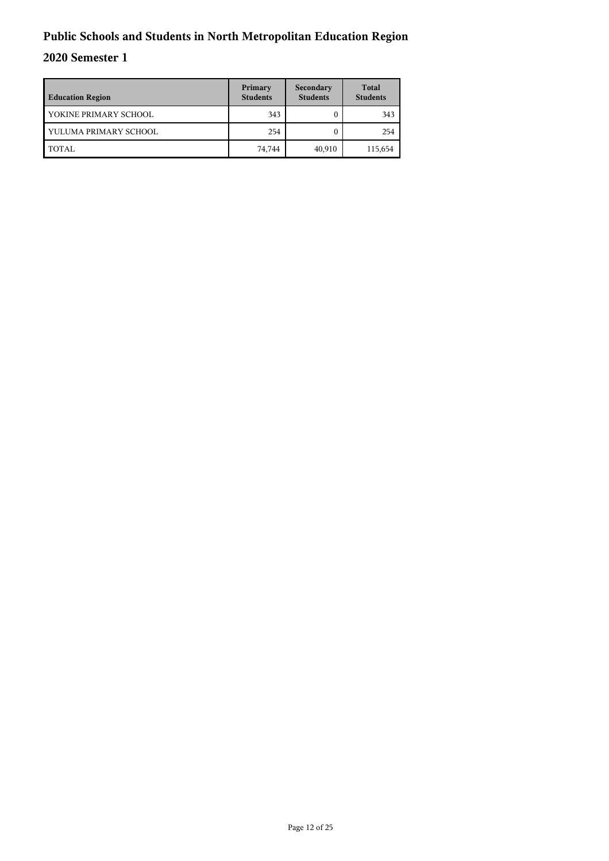| <b>Education Region</b> | Primary<br><b>Students</b> | Secondary<br><b>Students</b> | <b>Total</b><br><b>Students</b> |
|-------------------------|----------------------------|------------------------------|---------------------------------|
| YOKINE PRIMARY SCHOOL   | 343                        |                              | 343                             |
| YULUMA PRIMARY SCHOOL   | 254                        |                              | 254                             |
| TOTAL                   | 74,744                     | 40,910                       | 115,654                         |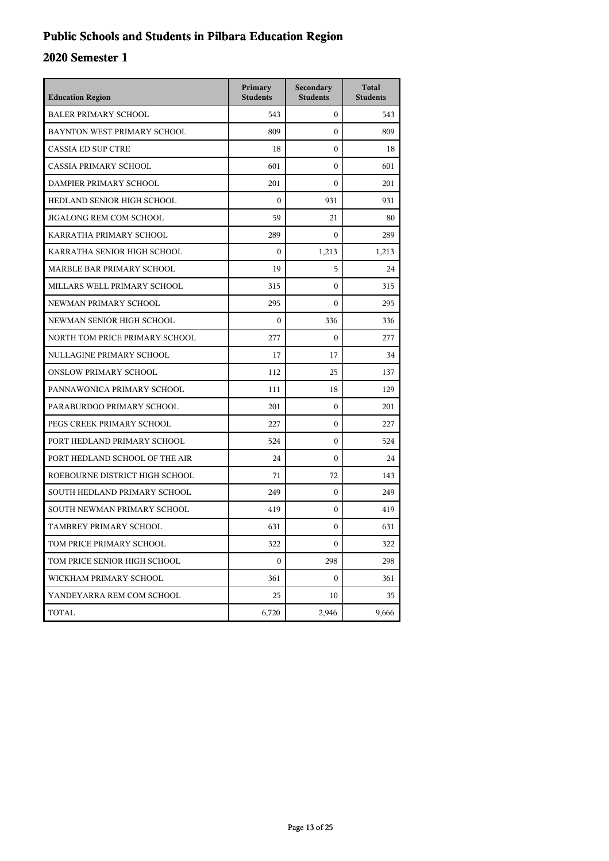## **Public Schools and Students in Pilbara Education Region**

| <b>Education Region</b>        | Primary<br><b>Students</b> | Secondary<br><b>Students</b> | <b>Total</b><br><b>Students</b> |
|--------------------------------|----------------------------|------------------------------|---------------------------------|
| <b>BALER PRIMARY SCHOOL</b>    | 543                        | $\mathbf{0}$                 | 543                             |
| BAYNTON WEST PRIMARY SCHOOL    | 809                        | $\theta$                     | 809                             |
| <b>CASSIA ED SUP CTRE</b>      | 18                         | $\theta$                     | 18                              |
| <b>CASSIA PRIMARY SCHOOL</b>   | 601                        | $\theta$                     | 601                             |
| DAMPIER PRIMARY SCHOOL         | 201                        | $\boldsymbol{0}$             | 201                             |
| HEDLAND SENIOR HIGH SCHOOL     | $\boldsymbol{0}$           | 931                          | 931                             |
| JIGALONG REM COM SCHOOL        | 59                         | 21                           | 80                              |
| KARRATHA PRIMARY SCHOOL        | 289                        | $\theta$                     | 289                             |
| KARRATHA SENIOR HIGH SCHOOL    | $\boldsymbol{0}$           | 1,213                        | 1,213                           |
| MARBLE BAR PRIMARY SCHOOL      | 19                         | 5                            | 24                              |
| MILLARS WELL PRIMARY SCHOOL    | 315                        | $\mathbf{0}$                 | 315                             |
| NEWMAN PRIMARY SCHOOL          | 295                        | $\theta$                     | 295                             |
| NEWMAN SENIOR HIGH SCHOOL      | $\boldsymbol{0}$           | 336                          | 336                             |
| NORTH TOM PRICE PRIMARY SCHOOL | 277                        | $\boldsymbol{0}$             | 277                             |
| NULLAGINE PRIMARY SCHOOL       | 17                         | 17                           | 34                              |
| <b>ONSLOW PRIMARY SCHOOL</b>   | 112                        | 25                           | 137                             |
| PANNAWONICA PRIMARY SCHOOL     | 111                        | 18                           | 129                             |
| PARABURDOO PRIMARY SCHOOL      | 201                        | $\mathbf{0}$                 | 201                             |
| PEGS CREEK PRIMARY SCHOOL      | 227                        | $\boldsymbol{0}$             | 227                             |
| PORT HEDLAND PRIMARY SCHOOL    | 524                        | $\boldsymbol{0}$             | 524                             |
| PORT HEDLAND SCHOOL OF THE AIR | 24                         | $\Omega$                     | 24                              |
| ROEBOURNE DISTRICT HIGH SCHOOL | 71                         | 72                           | 143                             |
| SOUTH HEDLAND PRIMARY SCHOOL   | 249                        | $\mathbf{0}$                 | 249                             |
| SOUTH NEWMAN PRIMARY SCHOOL    | 419                        | $\boldsymbol{0}$             | 419                             |
| TAMBREY PRIMARY SCHOOL         | 631                        | $\boldsymbol{0}$             | 631                             |
| TOM PRICE PRIMARY SCHOOL       | 322                        | $\boldsymbol{0}$             | 322                             |
| TOM PRICE SENIOR HIGH SCHOOL   | 0                          | 298                          | 298                             |
| WICKHAM PRIMARY SCHOOL         | 361                        | 0                            | 361                             |
| YANDEYARRA REM COM SCHOOL      | 25                         | 10                           | 35                              |
| TOTAL                          | 6,720                      | 2,946                        | 9,666                           |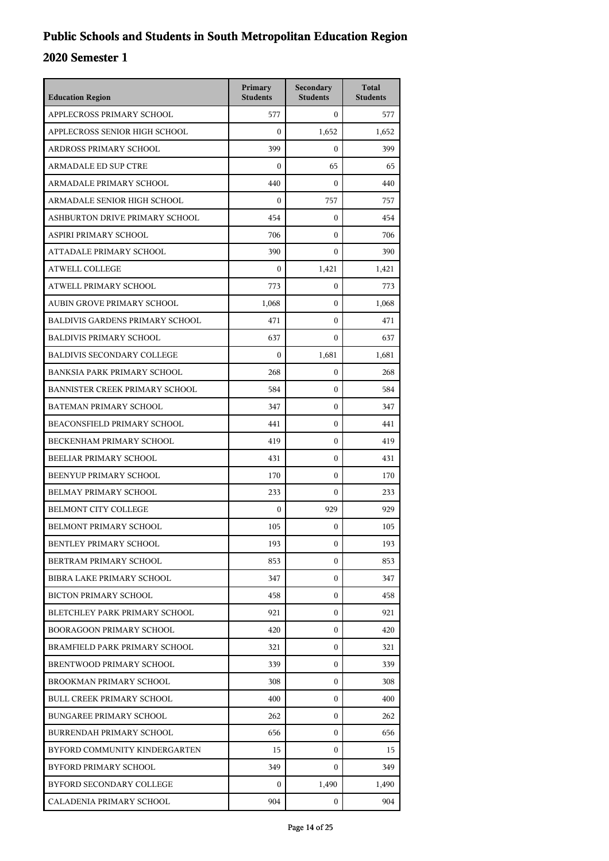| <b>Education Region</b>                | Primary<br><b>Students</b> | Secondary<br><b>Students</b> | <b>Total</b><br><b>Students</b> |
|----------------------------------------|----------------------------|------------------------------|---------------------------------|
| APPLECROSS PRIMARY SCHOOL              | 577                        | $\mathbf{0}$                 | 577                             |
| APPLECROSS SENIOR HIGH SCHOOL          | $\mathbf{0}$               | 1,652                        | 1,652                           |
| ARDROSS PRIMARY SCHOOL                 | 399                        | $\mathbf{0}$                 | 399                             |
| <b>ARMADALE ED SUP CTRE</b>            | $\mathbf{0}$               | 65                           | 65                              |
| ARMADALE PRIMARY SCHOOL                | 440                        | $\mathbf{0}$                 | 440                             |
| ARMADALE SENIOR HIGH SCHOOL            | $\mathbf{0}$               | 757                          | 757                             |
| ASHBURTON DRIVE PRIMARY SCHOOL         | 454                        | $\mathbf{0}$                 | 454                             |
| ASPIRI PRIMARY SCHOOL                  | 706                        | $\mathbf{0}$                 | 706                             |
| ATTADALE PRIMARY SCHOOL                | 390                        | $\mathbf{0}$                 | 390                             |
| <b>ATWELL COLLEGE</b>                  | $\boldsymbol{0}$           | 1,421                        | 1,421                           |
| ATWELL PRIMARY SCHOOL                  | 773                        | $\overline{0}$               | 773                             |
| AUBIN GROVE PRIMARY SCHOOL             | 1,068                      | $\mathbf{0}$                 | 1,068                           |
| <b>BALDIVIS GARDENS PRIMARY SCHOOL</b> | 471                        | $\mathbf{0}$                 | 471                             |
| <b>BALDIVIS PRIMARY SCHOOL</b>         | 637                        | $\mathbf{0}$                 | 637                             |
| <b>BALDIVIS SECONDARY COLLEGE</b>      | $\boldsymbol{0}$           | 1,681                        | 1,681                           |
| BANKSIA PARK PRIMARY SCHOOL            | 268                        | $\mathbf{0}$                 | 268                             |
| BANNISTER CREEK PRIMARY SCHOOL         | 584                        | $\mathbf{0}$                 | 584                             |
| BATEMAN PRIMARY SCHOOL                 | 347                        | $\mathbf{0}$                 | 347                             |
| BEACONSFIELD PRIMARY SCHOOL            | 441                        | $\mathbf{0}$                 | 441                             |
| BECKENHAM PRIMARY SCHOOL               | 419                        | $\mathbf{0}$                 | 419                             |
| BEELIAR PRIMARY SCHOOL                 | 431                        | $\mathbf{0}$                 | 431                             |
| BEENYUP PRIMARY SCHOOL                 | 170                        | $\mathbf{0}$                 | 170                             |
| BELMAY PRIMARY SCHOOL                  | 233                        | $\mathbf{0}$                 | 233                             |
| <b>BELMONT CITY COLLEGE</b>            | $\boldsymbol{0}$           | 929                          | 929                             |
| BELMONT PRIMARY SCHOOL                 | 105                        | $\mathbf{0}$                 | 105                             |
| BENTLEY PRIMARY SCHOOL                 | 193                        | 0                            | 193                             |
| BERTRAM PRIMARY SCHOOL                 | 853                        | $\Omega$                     | 853                             |
| BIBRA LAKE PRIMARY SCHOOL              | 347                        | $\mathbf{0}$                 | 347                             |
| <b>BICTON PRIMARY SCHOOL</b>           | 458                        | $\mathbf{0}$                 | 458                             |
| BLETCHLEY PARK PRIMARY SCHOOL          | 921                        | 0                            | 921                             |
| <b>BOORAGOON PRIMARY SCHOOL</b>        | 420                        | $\mathbf{0}$                 | 420                             |
| BRAMFIELD PARK PRIMARY SCHOOL          | 321                        | $\Omega$                     | 321                             |
| BRENTWOOD PRIMARY SCHOOL               | 339                        | $\mathbf{0}$                 | 339                             |
| BROOKMAN PRIMARY SCHOOL                | 308                        | $\mathbf{0}$                 | 308                             |
| <b>BULL CREEK PRIMARY SCHOOL</b>       | 400                        | 0                            | 400                             |
| <b>BUNGAREE PRIMARY SCHOOL</b>         | 262                        | $\mathbf{0}$                 | 262                             |
| <b>BURRENDAH PRIMARY SCHOOL</b>        | 656                        | $\mathbf{0}$                 | 656                             |
| BYFORD COMMUNITY KINDERGARTEN          | 15                         | $\mathbf{0}$                 | 15                              |
| BYFORD PRIMARY SCHOOL                  | 349                        | $\mathbf{0}$                 | 349                             |
| BYFORD SECONDARY COLLEGE               | $\mathbf{0}$               | 1,490                        | 1,490                           |
| CALADENIA PRIMARY SCHOOL               | 904                        | $\overline{0}$               | 904                             |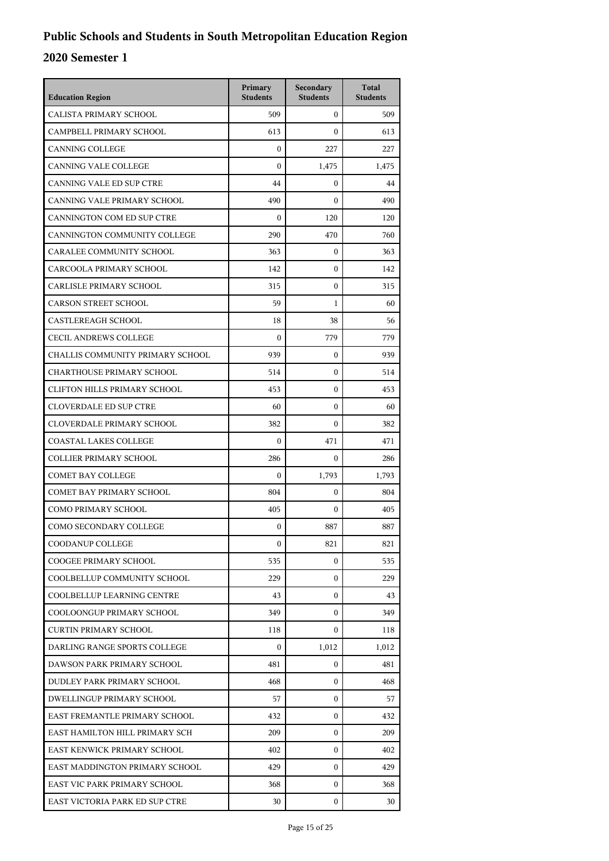| <b>Education Region</b>             | Primary<br><b>Students</b> | Secondary<br><b>Students</b> | <b>Total</b><br><b>Students</b> |
|-------------------------------------|----------------------------|------------------------------|---------------------------------|
| CALISTA PRIMARY SCHOOL              | 509                        | $\mathbf{0}$                 | 509                             |
| CAMPBELL PRIMARY SCHOOL             | 613                        | $\mathbf{0}$                 | 613                             |
| <b>CANNING COLLEGE</b>              | $\mathbf{0}$               | 227                          | 227                             |
| <b>CANNING VALE COLLEGE</b>         | $\boldsymbol{0}$           | 1,475                        | 1,475                           |
| <b>CANNING VALE ED SUP CTRE</b>     | 44                         | $\mathbf{0}$                 | 44                              |
| CANNING VALE PRIMARY SCHOOL         | 490                        | $\Omega$                     | 490                             |
| CANNINGTON COM ED SUP CTRE          | $\boldsymbol{0}$           | 120                          | 120                             |
| CANNINGTON COMMUNITY COLLEGE        | 290                        | 470                          | 760                             |
| CARALEE COMMUNITY SCHOOL            | 363                        | $\mathbf{0}$                 | 363                             |
| CARCOOLA PRIMARY SCHOOL             | 142                        | $\mathbf{0}$                 | 142                             |
| CARLISLE PRIMARY SCHOOL             | 315                        | $\mathbf{0}$                 | 315                             |
| <b>CARSON STREET SCHOOL</b>         | 59                         | 1                            | 60                              |
| <b>CASTLEREAGH SCHOOL</b>           | 18                         | 38                           | 56                              |
| <b>CECIL ANDREWS COLLEGE</b>        | $\mathbf{0}$               | 779                          | 779                             |
| CHALLIS COMMUNITY PRIMARY SCHOOL    | 939                        | $\mathbf{0}$                 | 939                             |
| <b>CHARTHOUSE PRIMARY SCHOOL</b>    | 514                        | $\mathbf{0}$                 | 514                             |
| <b>CLIFTON HILLS PRIMARY SCHOOL</b> | 453                        | $\mathbf{0}$                 | 453                             |
| <b>CLOVERDALE ED SUP CTRE</b>       | 60                         | $\mathbf{0}$                 | 60                              |
| <b>CLOVERDALE PRIMARY SCHOOL</b>    | 382                        | $\mathbf{0}$                 | 382                             |
| <b>COASTAL LAKES COLLEGE</b>        | $\boldsymbol{0}$           | 471                          | 471                             |
| <b>COLLIER PRIMARY SCHOOL</b>       | 286                        | $\mathbf{0}$                 | 286                             |
| <b>COMET BAY COLLEGE</b>            | $\boldsymbol{0}$           | 1,793                        | 1,793                           |
| COMET BAY PRIMARY SCHOOL            | 804                        | $\mathbf{0}$                 | 804                             |
| <b>COMO PRIMARY SCHOOL</b>          | 405                        | $\mathbf{0}$                 | 405                             |
| COMO SECONDARY COLLEGE              | 0                          | 887                          | 887                             |
| <b>COODANUP COLLEGE</b>             | $\mathbf{0}$               | 821                          | 821                             |
| COOGEE PRIMARY SCHOOL               | 535                        | $\mathbf{0}$                 | 535                             |
| COOLBELLUP COMMUNITY SCHOOL         | 229                        | $\mathbf{0}$                 | 229                             |
| COOLBELLUP LEARNING CENTRE          | 43                         | $\mathbf{0}$                 | 43                              |
| COOLOONGUP PRIMARY SCHOOL           | 349                        | $\mathbf{0}$                 | 349                             |
| <b>CURTIN PRIMARY SCHOOL</b>        | 118                        | $\mathbf{0}$                 | 118                             |
| DARLING RANGE SPORTS COLLEGE        | $\mathbf{0}$               | 1,012                        | 1,012                           |
| DAWSON PARK PRIMARY SCHOOL          | 481                        | $\mathbf{0}$                 | 481                             |
| DUDLEY PARK PRIMARY SCHOOL          | 468                        | $\mathbf{0}$                 | 468                             |
| DWELLINGUP PRIMARY SCHOOL           | 57                         | $\mathbf{0}$                 | 57                              |
| EAST FREMANTLE PRIMARY SCHOOL       | 432                        | $\mathbf{0}$                 | 432                             |
| EAST HAMILTON HILL PRIMARY SCH      | 209                        | $\mathbf{0}$                 | 209                             |
| EAST KENWICK PRIMARY SCHOOL         | 402                        | $\mathbf{0}$                 | 402                             |
| EAST MADDINGTON PRIMARY SCHOOL      | 429                        | $\mathbf{0}$                 | 429                             |
| EAST VIC PARK PRIMARY SCHOOL        | 368                        | $\mathbf{0}$                 | 368                             |
| EAST VICTORIA PARK ED SUP CTRE      | 30                         | 0                            | 30                              |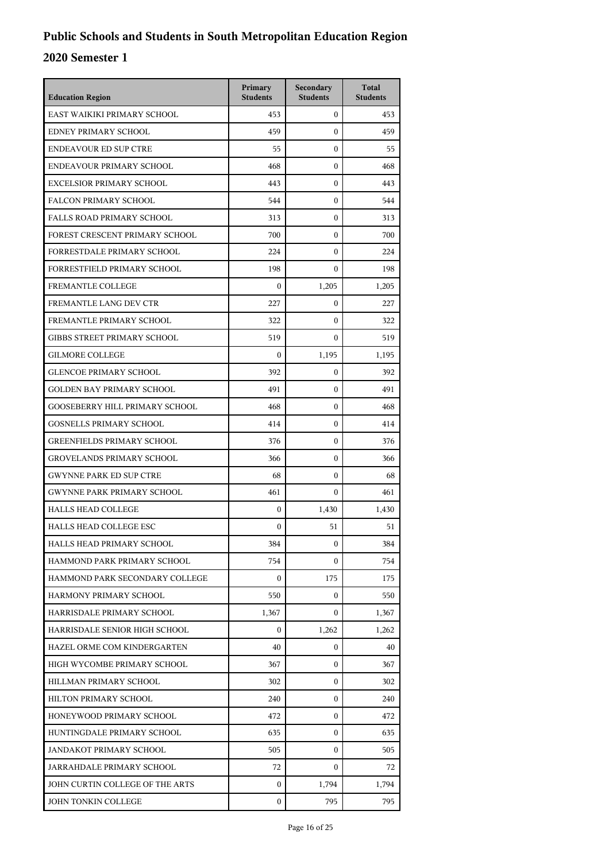| <b>Education Region</b>               | Primary<br><b>Students</b> | Secondary<br><b>Students</b> | <b>Total</b><br><b>Students</b> |
|---------------------------------------|----------------------------|------------------------------|---------------------------------|
| EAST WAIKIKI PRIMARY SCHOOL           | 453                        | $\mathbf{0}$                 | 453                             |
| EDNEY PRIMARY SCHOOL                  | 459                        | $\mathbf{0}$                 | 459                             |
| <b>ENDEAVOUR ED SUP CTRE</b>          | 55                         | $\mathbf{0}$                 | 55                              |
| ENDEAVOUR PRIMARY SCHOOL              | 468                        | $\mathbf{0}$                 | 468                             |
| <b>EXCELSIOR PRIMARY SCHOOL</b>       | 443                        | $\mathbf{0}$                 | 443                             |
| <b>FALCON PRIMARY SCHOOL</b>          | 544                        | $\mathbf{0}$                 | 544                             |
| <b>FALLS ROAD PRIMARY SCHOOL</b>      | 313                        | $\mathbf{0}$                 | 313                             |
| FOREST CRESCENT PRIMARY SCHOOL        | 700                        | $\mathbf{0}$                 | 700                             |
| FORRESTDALE PRIMARY SCHOOL            | 224                        | $\mathbf{0}$                 | 224                             |
| <b>FORRESTFIELD PRIMARY SCHOOL</b>    | 198                        | $\Omega$                     | 198                             |
| FREMANTLE COLLEGE                     | $\boldsymbol{0}$           | 1,205                        | 1,205                           |
| FREMANTLE LANG DEV CTR                | 227                        | $\mathbf{0}$                 | 227                             |
| FREMANTLE PRIMARY SCHOOL              | 322                        | $\mathbf{0}$                 | 322                             |
| <b>GIBBS STREET PRIMARY SCHOOL</b>    | 519                        | $\mathbf{0}$                 | 519                             |
| <b>GILMORE COLLEGE</b>                | $\Omega$                   | 1,195                        | 1,195                           |
| <b>GLENCOE PRIMARY SCHOOL</b>         | 392                        | $\mathbf{0}$                 | 392                             |
| <b>GOLDEN BAY PRIMARY SCHOOL</b>      | 491                        | $\mathbf{0}$                 | 491                             |
| <b>GOOSEBERRY HILL PRIMARY SCHOOL</b> | 468                        | $\mathbf{0}$                 | 468                             |
| <b>GOSNELLS PRIMARY SCHOOL</b>        | 414                        | $\mathbf{0}$                 | 414                             |
| <b>GREENFIELDS PRIMARY SCHOOL</b>     | 376                        | $\mathbf{0}$                 | 376                             |
| <b>GROVELANDS PRIMARY SCHOOL</b>      | 366                        | $\mathbf{0}$                 | 366                             |
| <b>GWYNNE PARK ED SUP CTRE</b>        | 68                         | $\mathbf{0}$                 | 68                              |
| <b>GWYNNE PARK PRIMARY SCHOOL</b>     | 461                        | $\mathbf{0}$                 | 461                             |
| <b>HALLS HEAD COLLEGE</b>             | $\boldsymbol{0}$           | 1,430                        | 1,430                           |
| <b>HALLS HEAD COLLEGE ESC</b>         | $\boldsymbol{0}$           | 51                           | 51                              |
| HALLS HEAD PRIMARY SCHOOL             | 384                        | $\boldsymbol{0}$             | 384                             |
| HAMMOND PARK PRIMARY SCHOOL           | 754                        | $\Omega$                     | 754                             |
| HAMMOND PARK SECONDARY COLLEGE        | $\boldsymbol{0}$           | 175                          | 175                             |
| HARMONY PRIMARY SCHOOL                | 550                        | 0                            | 550                             |
| HARRISDALE PRIMARY SCHOOL             | 1,367                      | $\Omega$                     | 1,367                           |
| HARRISDALE SENIOR HIGH SCHOOL         | $\Omega$                   | 1,262                        | 1,262                           |
| HAZEL ORME COM KINDERGARTEN           | 40                         | $\mathbf{0}$                 | 40                              |
| HIGH WYCOMBE PRIMARY SCHOOL           | 367                        | $\overline{0}$               | 367                             |
| HILLMAN PRIMARY SCHOOL                | 302                        | 0                            | 302                             |
| HILTON PRIMARY SCHOOL                 | 240                        | 0                            | 240                             |
| HONEYWOOD PRIMARY SCHOOL              | 472                        | $\mathbf{0}$                 | 472                             |
| HUNTINGDALE PRIMARY SCHOOL            | 635                        | $\overline{0}$               | 635                             |
| JANDAKOT PRIMARY SCHOOL               | 505                        | $\overline{0}$               | 505                             |
| JARRAHDALE PRIMARY SCHOOL             | 72                         | $\mathbf{0}$                 | 72                              |
| JOHN CURTIN COLLEGE OF THE ARTS       | 0                          | 1,794                        | 1,794                           |
| JOHN TONKIN COLLEGE                   | $\boldsymbol{0}$           | 795                          | 795                             |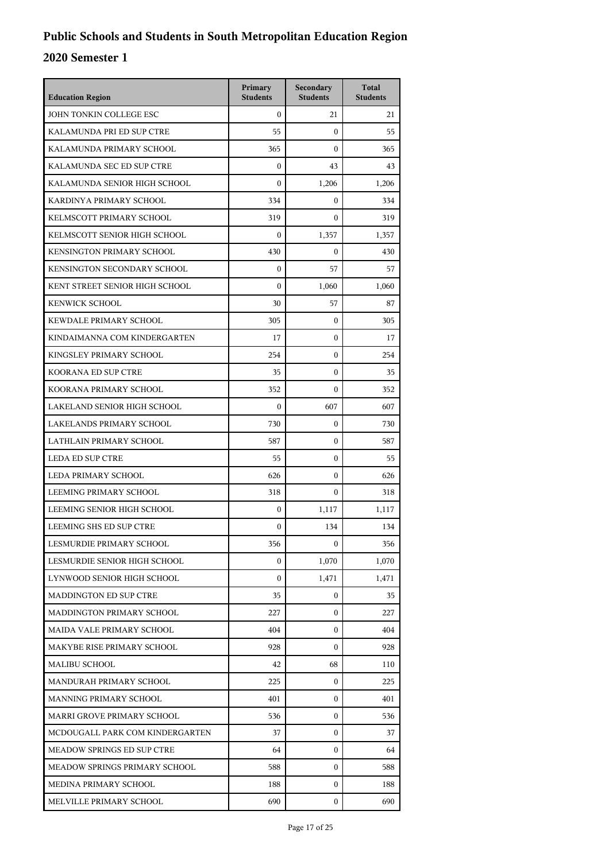| <b>Education Region</b>         | Primary<br><b>Students</b> | Secondary<br><b>Students</b> | <b>Total</b><br><b>Students</b> |
|---------------------------------|----------------------------|------------------------------|---------------------------------|
| JOHN TONKIN COLLEGE ESC         | $\theta$                   | 21                           | 21                              |
| KALAMUNDA PRI ED SUP CTRE       | 55                         | $\mathbf{0}$                 | 55                              |
| KALAMUNDA PRIMARY SCHOOL        | 365                        | $\mathbf{0}$                 | 365                             |
| KALAMUNDA SEC ED SUP CTRE       | $\boldsymbol{0}$           | 43                           | 43                              |
| KALAMUNDA SENIOR HIGH SCHOOL    | $\Omega$                   | 1,206                        | 1,206                           |
| KARDINYA PRIMARY SCHOOL         | 334                        | $\mathbf{0}$                 | 334                             |
| KELMSCOTT PRIMARY SCHOOL        | 319                        | $\mathbf{0}$                 | 319                             |
| KELMSCOTT SENIOR HIGH SCHOOL    | $\mathbf{0}$               | 1,357                        | 1,357                           |
| KENSINGTON PRIMARY SCHOOL       | 430                        | $\boldsymbol{0}$             | 430                             |
| KENSINGTON SECONDARY SCHOOL     | $\boldsymbol{0}$           | 57                           | 57                              |
| KENT STREET SENIOR HIGH SCHOOL  | $\mathbf{0}$               | 1,060                        | 1,060                           |
| <b>KENWICK SCHOOL</b>           | 30                         | 57                           | 87                              |
| KEWDALE PRIMARY SCHOOL          | 305                        | $\mathbf{0}$                 | 305                             |
| KINDAIMANNA COM KINDERGARTEN    | 17                         | $\mathbf{0}$                 | 17                              |
| KINGSLEY PRIMARY SCHOOL         | 254                        | $\mathbf{0}$                 | 254                             |
| KOORANA ED SUP CTRE             | 35                         | $\mathbf{0}$                 | 35                              |
| KOORANA PRIMARY SCHOOL          | 352                        | $\mathbf{0}$                 | 352                             |
| LAKELAND SENIOR HIGH SCHOOL     | $\mathbf{0}$               | 607                          | 607                             |
| LAKELANDS PRIMARY SCHOOL        | 730                        | $\mathbf{0}$                 | 730                             |
| LATHLAIN PRIMARY SCHOOL         | 587                        | 0                            | 587                             |
| <b>LEDA ED SUP CTRE</b>         | 55                         | $\mathbf{0}$                 | 55                              |
| LEDA PRIMARY SCHOOL             | 626                        | $\mathbf{0}$                 | 626                             |
| LEEMING PRIMARY SCHOOL          | 318                        | $\mathbf{0}$                 | 318                             |
| LEEMING SENIOR HIGH SCHOOL      | $\boldsymbol{0}$           | 1,117                        | 1,117                           |
| LEEMING SHS ED SUP CTRE         | $\boldsymbol{0}$           | 134                          | 134                             |
| LESMURDIE PRIMARY SCHOOL        | 356                        | $\mathbf{0}$                 | 356                             |
| LESMURDIE SENIOR HIGH SCHOOL    | $\boldsymbol{0}$           | 1,070                        | 1,070                           |
| LYNWOOD SENIOR HIGH SCHOOL      | $\boldsymbol{0}$           | 1,471                        | 1,471                           |
| <b>MADDINGTON ED SUP CTRE</b>   | 35                         | $\mathbf{0}$                 | 35                              |
| MADDINGTON PRIMARY SCHOOL       | 227                        | $\mathbf{0}$                 | 227                             |
| MAIDA VALE PRIMARY SCHOOL       | 404                        | $\overline{0}$               | 404                             |
| MAKYBE RISE PRIMARY SCHOOL      | 928                        | $\mathbf{0}$                 | 928                             |
| <b>MALIBU SCHOOL</b>            | 42                         | 68                           | 110                             |
| MANDURAH PRIMARY SCHOOL         | 225                        | $\mathbf{0}$                 | 225                             |
| MANNING PRIMARY SCHOOL          | 401                        | $\mathbf{0}$                 | 401                             |
| MARRI GROVE PRIMARY SCHOOL      | 536                        | $\mathbf{0}$                 | 536                             |
| MCDOUGALL PARK COM KINDERGARTEN | 37                         | $\mathbf{0}$                 | 37                              |
| MEADOW SPRINGS ED SUP CTRE      | 64                         | $\mathbf{0}$                 | 64                              |
| MEADOW SPRINGS PRIMARY SCHOOL   | 588                        | $\mathbf{0}$                 | 588                             |
| MEDINA PRIMARY SCHOOL           | 188                        | $\mathbf{0}$                 | 188                             |
| MELVILLE PRIMARY SCHOOL         | 690                        | $\mathbf{0}$                 | 690                             |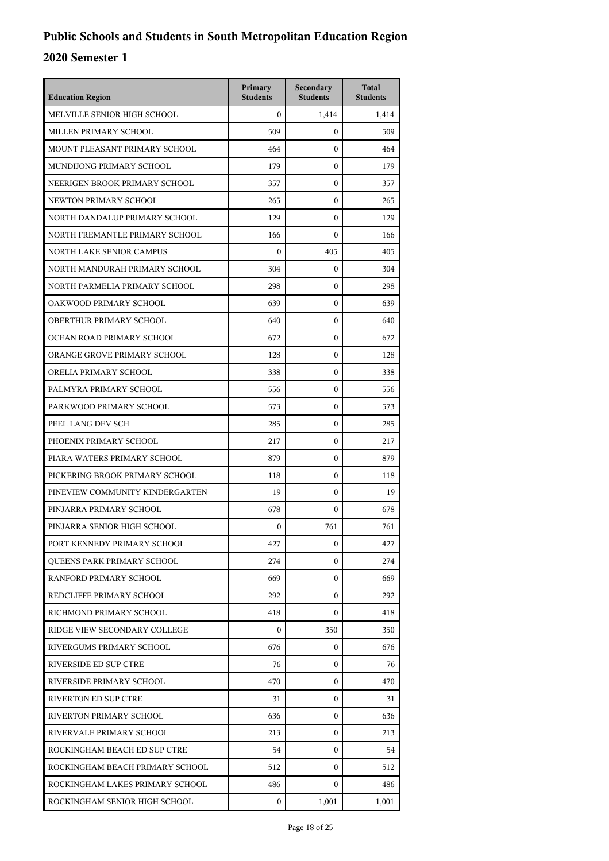| <b>Education Region</b>         | Primary<br><b>Students</b> | Secondary<br><b>Students</b> | <b>Total</b><br><b>Students</b> |
|---------------------------------|----------------------------|------------------------------|---------------------------------|
| MELVILLE SENIOR HIGH SCHOOL     | $\Omega$                   | 1,414                        | 1,414                           |
| MILLEN PRIMARY SCHOOL           | 509                        | $\mathbf{0}$                 | 509                             |
| MOUNT PLEASANT PRIMARY SCHOOL   | 464                        | $\mathbf{0}$                 | 464                             |
| MUNDIJONG PRIMARY SCHOOL        | 179                        | $\mathbf{0}$                 | 179                             |
| NEERIGEN BROOK PRIMARY SCHOOL   | 357                        | $\mathbf{0}$                 | 357                             |
| NEWTON PRIMARY SCHOOL           | 265                        | $\mathbf{0}$                 | 265                             |
| NORTH DANDALUP PRIMARY SCHOOL   | 129                        | $\mathbf{0}$                 | 129                             |
| NORTH FREMANTLE PRIMARY SCHOOL  | 166                        | $\mathbf{0}$                 | 166                             |
| NORTH LAKE SENIOR CAMPUS        | $\boldsymbol{0}$           | 405                          | 405                             |
| NORTH MANDURAH PRIMARY SCHOOL   | 304                        | $\mathbf{0}$                 | 304                             |
| NORTH PARMELIA PRIMARY SCHOOL   | 298                        | $\mathbf{0}$                 | 298                             |
| OAKWOOD PRIMARY SCHOOL          | 639                        | $\mathbf{0}$                 | 639                             |
| OBERTHUR PRIMARY SCHOOL         | 640                        | $\mathbf{0}$                 | 640                             |
| OCEAN ROAD PRIMARY SCHOOL       | 672                        | $\mathbf{0}$                 | 672                             |
| ORANGE GROVE PRIMARY SCHOOL     | 128                        | $\mathbf{0}$                 | 128                             |
| ORELIA PRIMARY SCHOOL           | 338                        | $\mathbf{0}$                 | 338                             |
| PALMYRA PRIMARY SCHOOL          | 556                        | $\mathbf{0}$                 | 556                             |
| PARKWOOD PRIMARY SCHOOL         | 573                        | $\mathbf{0}$                 | 573                             |
| PEEL LANG DEV SCH               | 285                        | $\mathbf{0}$                 | 285                             |
| PHOENIX PRIMARY SCHOOL          | 217                        | $\mathbf{0}$                 | 217                             |
| PIARA WATERS PRIMARY SCHOOL     | 879                        | $\mathbf{0}$                 | 879                             |
| PICKERING BROOK PRIMARY SCHOOL  | 118                        | $\mathbf{0}$                 | 118                             |
| PINEVIEW COMMUNITY KINDERGARTEN | 19                         | $\mathbf{0}$                 | 19                              |
| PINJARRA PRIMARY SCHOOL         | 678                        | $\mathbf{0}$                 | 678                             |
| PINJARRA SENIOR HIGH SCHOOL     | $\boldsymbol{0}$           | 761                          | 761                             |
| PORT KENNEDY PRIMARY SCHOOL     | 427                        | $\boldsymbol{0}$             | 427                             |
| QUEENS PARK PRIMARY SCHOOL      | 274                        | $\mathbf{0}$                 | 274                             |
| RANFORD PRIMARY SCHOOL          | 669                        | $\overline{0}$               | 669                             |
| REDCLIFFE PRIMARY SCHOOL        | 292                        | $\mathbf{0}$                 | 292                             |
| RICHMOND PRIMARY SCHOOL         | 418                        | 0                            | 418                             |
| RIDGE VIEW SECONDARY COLLEGE    | $\Omega$                   | 350                          | 350                             |
| RIVERGUMS PRIMARY SCHOOL        | 676                        | $\overline{0}$               | 676                             |
| RIVERSIDE ED SUP CTRE           | 76                         | $\overline{0}$               | 76                              |
| RIVERSIDE PRIMARY SCHOOL        | 470                        | 0                            | 470                             |
| <b>RIVERTON ED SUP CTRE</b>     | 31                         | $\mathbf{0}$                 | 31                              |
| RIVERTON PRIMARY SCHOOL         | 636                        | $\mathbf{0}$                 | 636                             |
| RIVERVALE PRIMARY SCHOOL        | 213                        | $\overline{0}$               | 213                             |
| ROCKINGHAM BEACH ED SUP CTRE    | 54                         | $\overline{0}$               | 54                              |
| ROCKINGHAM BEACH PRIMARY SCHOOL | 512                        | $\mathbf{0}$                 | 512                             |
| ROCKINGHAM LAKES PRIMARY SCHOOL | 486                        | $\mathbf{0}$                 | 486                             |
| ROCKINGHAM SENIOR HIGH SCHOOL   | 0                          | 1,001                        | 1,001                           |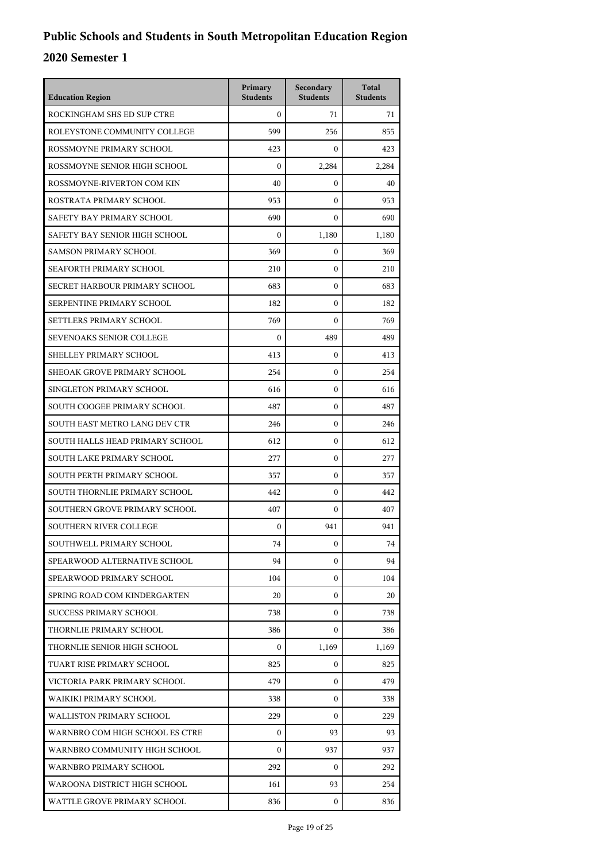| <b>Education Region</b>         | Primary<br><b>Students</b> | <b>Secondary</b><br><b>Students</b> | <b>Total</b><br><b>Students</b> |
|---------------------------------|----------------------------|-------------------------------------|---------------------------------|
| ROCKINGHAM SHS ED SUP CTRE      | $\Omega$                   | 71                                  | 71                              |
| ROLEYSTONE COMMUNITY COLLEGE    | 599                        | 256                                 | 855                             |
| ROSSMOYNE PRIMARY SCHOOL        | 423                        | $\mathbf{0}$                        | 423                             |
| ROSSMOYNE SENIOR HIGH SCHOOL    | $\boldsymbol{0}$           | 2,284                               | 2,284                           |
| ROSSMOYNE-RIVERTON COM KIN      | 40                         | $\mathbf{0}$                        | 40                              |
| ROSTRATA PRIMARY SCHOOL         | 953                        | $\Omega$                            | 953                             |
| SAFETY BAY PRIMARY SCHOOL       | 690                        | $\mathbf{0}$                        | 690                             |
| SAFETY BAY SENIOR HIGH SCHOOL   | $\mathbf{0}$               | 1,180                               | 1,180                           |
| <b>SAMSON PRIMARY SCHOOL</b>    | 369                        | $\mathbf{0}$                        | 369                             |
| SEAFORTH PRIMARY SCHOOL         | 210                        | 0                                   | 210                             |
| SECRET HARBOUR PRIMARY SCHOOL   | 683                        | $\theta$                            | 683                             |
| SERPENTINE PRIMARY SCHOOL       | 182                        | $\mathbf{0}$                        | 182                             |
| SETTLERS PRIMARY SCHOOL         | 769                        | $\mathbf{0}$                        | 769                             |
| SEVENOAKS SENIOR COLLEGE        | $\boldsymbol{0}$           | 489                                 | 489                             |
| SHELLEY PRIMARY SCHOOL          | 413                        | $\mathbf{0}$                        | 413                             |
| SHEOAK GROVE PRIMARY SCHOOL     | 254                        | $\theta$                            | 254                             |
| SINGLETON PRIMARY SCHOOL        | 616                        | $\mathbf{0}$                        | 616                             |
| SOUTH COOGEE PRIMARY SCHOOL     | 487                        | $\mathbf{0}$                        | 487                             |
| SOUTH EAST METRO LANG DEV CTR   | 246                        | $\mathbf{0}$                        | 246                             |
| SOUTH HALLS HEAD PRIMARY SCHOOL | 612                        | $\mathbf{0}$                        | 612                             |
| SOUTH LAKE PRIMARY SCHOOL       | 277                        | $\theta$                            | 277                             |
| SOUTH PERTH PRIMARY SCHOOL      | 357                        | $\mathbf{0}$                        | 357                             |
| SOUTH THORNLIE PRIMARY SCHOOL   | 442                        | $\mathbf{0}$                        | 442                             |
| SOUTHERN GROVE PRIMARY SCHOOL   | 407                        | $\mathbf{0}$                        | 407                             |
| <b>SOUTHERN RIVER COLLEGE</b>   | 0                          | 941                                 | 941                             |
| SOUTHWELL PRIMARY SCHOOL        | 74                         | 0                                   | 74                              |
| SPEARWOOD ALTERNATIVE SCHOOL    | 94                         | $\mathbf{0}$                        | 94                              |
| SPEARWOOD PRIMARY SCHOOL        | 104                        | $\mathbf{0}$                        | 104                             |
| SPRING ROAD COM KINDERGARTEN    | 20                         | $\mathbf{0}$                        | 20                              |
| <b>SUCCESS PRIMARY SCHOOL</b>   | 738                        | 0                                   | 738                             |
| THORNLIE PRIMARY SCHOOL         | 386                        | $\Omega$                            | 386                             |
| THORNLIE SENIOR HIGH SCHOOL     | $\mathbf{0}$               | 1,169                               | 1,169                           |
| TUART RISE PRIMARY SCHOOL       | 825                        | $\mathbf{0}$                        | 825                             |
| VICTORIA PARK PRIMARY SCHOOL    | 479                        | $\mathbf{0}$                        | 479                             |
| WAIKIKI PRIMARY SCHOOL          | 338                        | 0                                   | 338                             |
| WALLISTON PRIMARY SCHOOL        | 229                        | $\Omega$                            | 229                             |
| WARNBRO COM HIGH SCHOOL ES CTRE | $\mathbf{0}$               | 93                                  | 93                              |
| WARNBRO COMMUNITY HIGH SCHOOL   | $\Omega$                   | 937                                 | 937                             |
| WARNBRO PRIMARY SCHOOL          | 292                        | 0                                   | 292                             |
| WAROONA DISTRICT HIGH SCHOOL    | 161                        | 93                                  | 254                             |
| WATTLE GROVE PRIMARY SCHOOL     | 836                        | 0                                   | 836                             |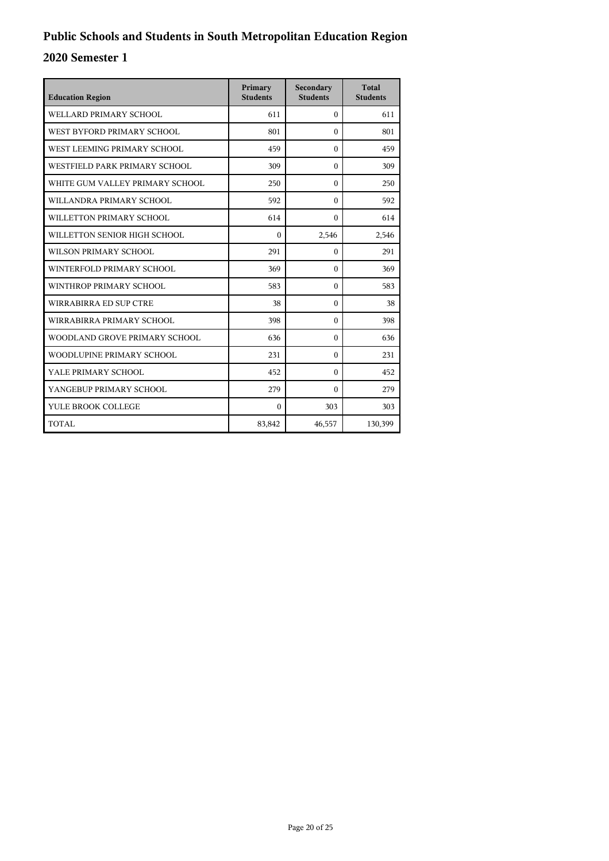| <b>Education Region</b>         | Primary<br><b>Students</b> | Secondary<br><b>Students</b> | <b>Total</b><br><b>Students</b> |
|---------------------------------|----------------------------|------------------------------|---------------------------------|
| WELLARD PRIMARY SCHOOL          | 611                        | $\Omega$                     | 611                             |
| WEST BYFORD PRIMARY SCHOOL      | 801                        | $\theta$                     | 801                             |
| WEST LEEMING PRIMARY SCHOOL     | 459                        | $\Omega$                     | 459                             |
| WESTFIELD PARK PRIMARY SCHOOL   | 309                        | $\theta$                     | 309                             |
| WHITE GUM VALLEY PRIMARY SCHOOL | 250                        | $\theta$                     | 250                             |
| WILLANDRA PRIMARY SCHOOL        | 592                        | $\theta$                     | 592                             |
| WILLETTON PRIMARY SCHOOL        | 614                        | $\theta$                     | 614                             |
| WILLETTON SENIOR HIGH SCHOOL    | $\Omega$                   | 2,546                        | 2,546                           |
| WILSON PRIMARY SCHOOL           | 291                        | $\theta$                     | 291                             |
| WINTERFOLD PRIMARY SCHOOL       | 369                        | $\theta$                     | 369                             |
| WINTHROP PRIMARY SCHOOL         | 583                        | $\theta$                     | 583                             |
| WIRRABIRRA ED SUP CTRE          | 38                         | $\theta$                     | 38                              |
| WIRRABIRRA PRIMARY SCHOOL       | 398                        | $\Omega$                     | 398                             |
| WOODLAND GROVE PRIMARY SCHOOL   | 636                        | $\theta$                     | 636                             |
| WOODLUPINE PRIMARY SCHOOL       | 231                        | $\Omega$                     | 231                             |
| YALE PRIMARY SCHOOL             | 452                        | $\theta$                     | 452                             |
| YANGEBUP PRIMARY SCHOOL         | 279                        | $\theta$                     | 279                             |
| YULE BROOK COLLEGE              | $\theta$                   | 303                          | 303                             |
| <b>TOTAL</b>                    | 83,842                     | 46,557                       | 130,399                         |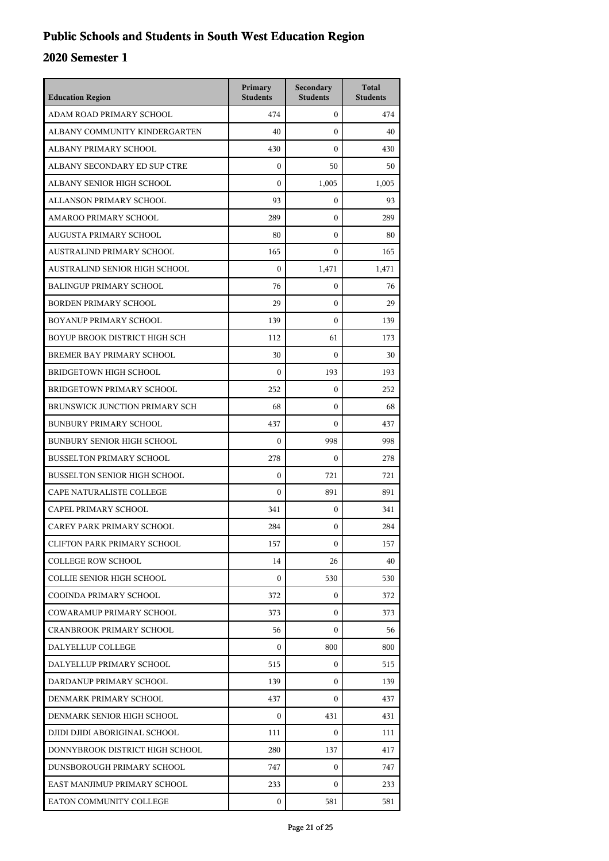| <b>Education Region</b>             | Primary<br><b>Students</b> | Secondary<br><b>Students</b> | <b>Total</b><br><b>Students</b> |
|-------------------------------------|----------------------------|------------------------------|---------------------------------|
| ADAM ROAD PRIMARY SCHOOL            | 474                        | $\mathbf{0}$                 | 474                             |
| ALBANY COMMUNITY KINDERGARTEN       | 40                         | $\mathbf{0}$                 | 40                              |
| ALBANY PRIMARY SCHOOL               | 430                        | $\mathbf{0}$                 | 430                             |
| ALBANY SECONDARY ED SUP CTRE        | $\mathbf{0}$               | 50                           | 50                              |
| ALBANY SENIOR HIGH SCHOOL           | $\theta$                   | 1,005                        | 1,005                           |
| ALLANSON PRIMARY SCHOOL             | 93                         | 0                            | 93                              |
| AMAROO PRIMARY SCHOOL               | 289                        | $\mathbf{0}$                 | 289                             |
| AUGUSTA PRIMARY SCHOOL              | 80                         | $\mathbf{0}$                 | 80                              |
| AUSTRALIND PRIMARY SCHOOL           | 165                        | $\mathbf{0}$                 | 165                             |
| AUSTRALIND SENIOR HIGH SCHOOL       | $\boldsymbol{0}$           | 1,471                        | 1,471                           |
| <b>BALINGUP PRIMARY SCHOOL</b>      | 76                         | 0                            | 76                              |
| <b>BORDEN PRIMARY SCHOOL</b>        | 29                         | $\mathbf{0}$                 | 29                              |
| BOYANUP PRIMARY SCHOOL              | 139                        | $\mathbf{0}$                 | 139                             |
| BOYUP BROOK DISTRICT HIGH SCH       | 112                        | 61                           | 173                             |
| BREMER BAY PRIMARY SCHOOL           | 30                         | $\mathbf{0}$                 | 30                              |
| <b>BRIDGETOWN HIGH SCHOOL</b>       | $\mathbf{0}$               | 193                          | 193                             |
| BRIDGETOWN PRIMARY SCHOOL           | 252                        | $\mathbf{0}$                 | 252                             |
| BRUNSWICK JUNCTION PRIMARY SCH      | 68                         | $\mathbf{0}$                 | 68                              |
| <b>BUNBURY PRIMARY SCHOOL</b>       | 437                        | $\mathbf{0}$                 | 437                             |
| <b>BUNBURY SENIOR HIGH SCHOOL</b>   | 0                          | 998                          | 998                             |
| <b>BUSSELTON PRIMARY SCHOOL</b>     | 278                        | $\mathbf{0}$                 | 278                             |
| <b>BUSSELTON SENIOR HIGH SCHOOL</b> | $\boldsymbol{0}$           | 721                          | 721                             |
| CAPE NATURALISTE COLLEGE            | $\boldsymbol{0}$           | 891                          | 891                             |
| CAPEL PRIMARY SCHOOL                | 341                        | $\mathbf{0}$                 | 341                             |
| CAREY PARK PRIMARY SCHOOL           | 284                        | 0                            | 284                             |
| <b>CLIFTON PARK PRIMARY SCHOOL</b>  | 157                        | $\mathbf{0}$                 | 157                             |
| <b>COLLEGE ROW SCHOOL</b>           | 14                         | 26                           | 40                              |
| <b>COLLIE SENIOR HIGH SCHOOL</b>    | $\mathbf{0}$               | 530                          | 530                             |
| COOINDA PRIMARY SCHOOL              | 372                        | $\mathbf{0}$                 | 372                             |
| COWARAMUP PRIMARY SCHOOL            | 373                        | 0                            | 373                             |
| <b>CRANBROOK PRIMARY SCHOOL</b>     | 56                         | 0                            | 56                              |
| DALYELLUP COLLEGE                   | $\mathbf{0}$               | 800                          | 800                             |
| DALYELLUP PRIMARY SCHOOL            | 515                        | $\mathbf{0}$                 | 515                             |
| DARDANUP PRIMARY SCHOOL             | 139                        | $\mathbf{0}$                 | 139                             |
| DENMARK PRIMARY SCHOOL              | 437                        | 0                            | 437                             |
| DENMARK SENIOR HIGH SCHOOL          | 0                          | 431                          | 431                             |
| DJIDI DJIDI ABORIGINAL SCHOOL       | 111                        | $\mathbf{0}$                 | 111                             |
| DONNYBROOK DISTRICT HIGH SCHOOL     | 280                        | 137                          | 417                             |
| DUNSBOROUGH PRIMARY SCHOOL          | 747                        | $\mathbf{0}$                 | 747                             |
| EAST MANJIMUP PRIMARY SCHOOL        | 233                        | 0                            | 233                             |
| EATON COMMUNITY COLLEGE             | $\mathbf{0}$               | 581                          | 581                             |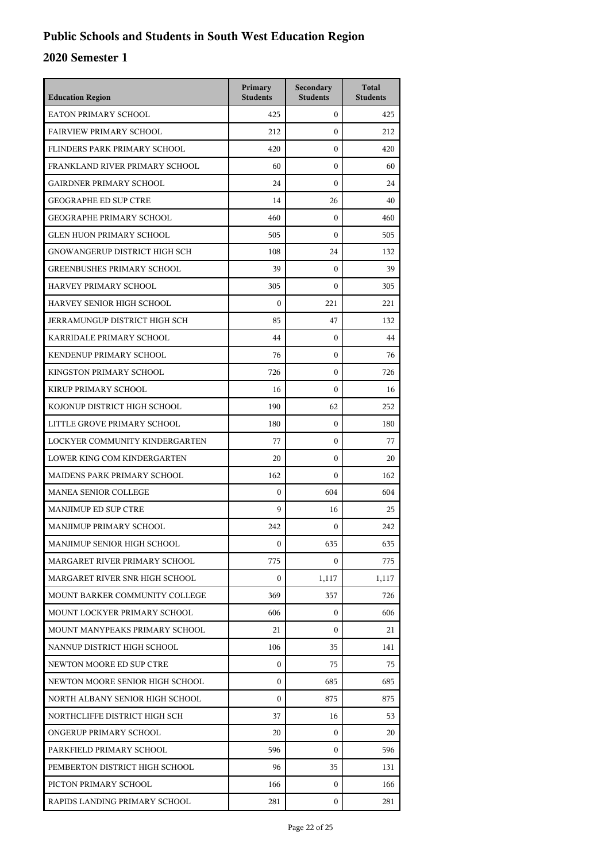| <b>Education Region</b>           | Primary<br><b>Students</b> | Secondary<br><b>Students</b> | <b>Total</b><br><b>Students</b> |
|-----------------------------------|----------------------------|------------------------------|---------------------------------|
| <b>EATON PRIMARY SCHOOL</b>       | 425                        | $\mathbf{0}$                 | 425                             |
| <b>FAIRVIEW PRIMARY SCHOOL</b>    | 212                        | $\theta$                     | 212                             |
| FLINDERS PARK PRIMARY SCHOOL      | 420                        | $\mathbf{0}$                 | 420                             |
| FRANKLAND RIVER PRIMARY SCHOOL    | 60                         | $\mathbf{0}$                 | 60                              |
| <b>GAIRDNER PRIMARY SCHOOL</b>    | 24                         | $\mathbf{0}$                 | 24                              |
| <b>GEOGRAPHE ED SUP CTRE</b>      | 14                         | 26                           | 40                              |
| <b>GEOGRAPHE PRIMARY SCHOOL</b>   | 460                        | $\mathbf{0}$                 | 460                             |
| <b>GLEN HUON PRIMARY SCHOOL</b>   | 505                        | $\mathbf{0}$                 | 505                             |
| GNOWANGERUP DISTRICT HIGH SCH     | 108                        | 24                           | 132                             |
| <b>GREENBUSHES PRIMARY SCHOOL</b> | 39                         | $\mathbf{0}$                 | 39                              |
| HARVEY PRIMARY SCHOOL             | 305                        | $\mathbf{0}$                 | 305                             |
| HARVEY SENIOR HIGH SCHOOL         | $\mathbf{0}$               | 221                          | 221                             |
| JERRAMUNGUP DISTRICT HIGH SCH     | 85                         | 47                           | 132                             |
| KARRIDALE PRIMARY SCHOOL          | 44                         | $\mathbf{0}$                 | 44                              |
| KENDENUP PRIMARY SCHOOL           | 76                         | $\mathbf{0}$                 | 76                              |
| KINGSTON PRIMARY SCHOOL           | 726                        | $\mathbf{0}$                 | 726                             |
| KIRUP PRIMARY SCHOOL              | 16                         | $\theta$                     | 16                              |
| KOJONUP DISTRICT HIGH SCHOOL      | 190                        | 62                           | 252                             |
| LITTLE GROVE PRIMARY SCHOOL       | 180                        | $\boldsymbol{0}$             | 180                             |
| LOCKYER COMMUNITY KINDERGARTEN    | 77                         | $\boldsymbol{0}$             | 77                              |
| LOWER KING COM KINDERGARTEN       | 20                         | $\mathbf{0}$                 | 20                              |
| MAIDENS PARK PRIMARY SCHOOL       | 162                        | $\theta$                     | 162                             |
| <b>MANEA SENIOR COLLEGE</b>       | $\boldsymbol{0}$           | 604                          | 604                             |
| <b>MANJIMUP ED SUP CTRE</b>       | 9                          | 16                           | 25                              |
| MANJIMUP PRIMARY SCHOOL           | 242                        | $\boldsymbol{0}$             | 242                             |
| MANJIMUP SENIOR HIGH SCHOOL       | $\boldsymbol{0}$           | 635                          | 635                             |
| MARGARET RIVER PRIMARY SCHOOL     | 775                        | $\Omega$                     | 775                             |
| MARGARET RIVER SNR HIGH SCHOOL    | $\mathbf{0}$               | 1,117                        | 1,117                           |
| MOUNT BARKER COMMUNITY COLLEGE    | 369                        | 357                          | 726                             |
| MOUNT LOCKYER PRIMARY SCHOOL      | 606                        | $\mathbf{0}$                 | 606                             |
| MOUNT MANYPEAKS PRIMARY SCHOOL    | 21                         | $\Omega$                     | 21                              |
| NANNUP DISTRICT HIGH SCHOOL       | 106                        | 35                           | 141                             |
| NEWTON MOORE ED SUP CTRE          | $\mathbf{0}$               | 75                           | 75                              |
| NEWTON MOORE SENIOR HIGH SCHOOL   | $\mathbf{0}$               | 685                          | 685                             |
| NORTH ALBANY SENIOR HIGH SCHOOL   | 0                          | 875                          | 875                             |
| NORTHCLIFFE DISTRICT HIGH SCH     | 37                         | 16                           | 53                              |
| ONGERUP PRIMARY SCHOOL            | 20                         | 0                            | 20                              |
| PARKFIELD PRIMARY SCHOOL          | 596                        | $\Omega$                     | 596                             |
| PEMBERTON DISTRICT HIGH SCHOOL    | 96                         | 35                           | 131                             |
| PICTON PRIMARY SCHOOL             | 166                        | $\mathbf{0}$                 | 166                             |
| RAPIDS LANDING PRIMARY SCHOOL     | 281                        | $\boldsymbol{0}$             | 281                             |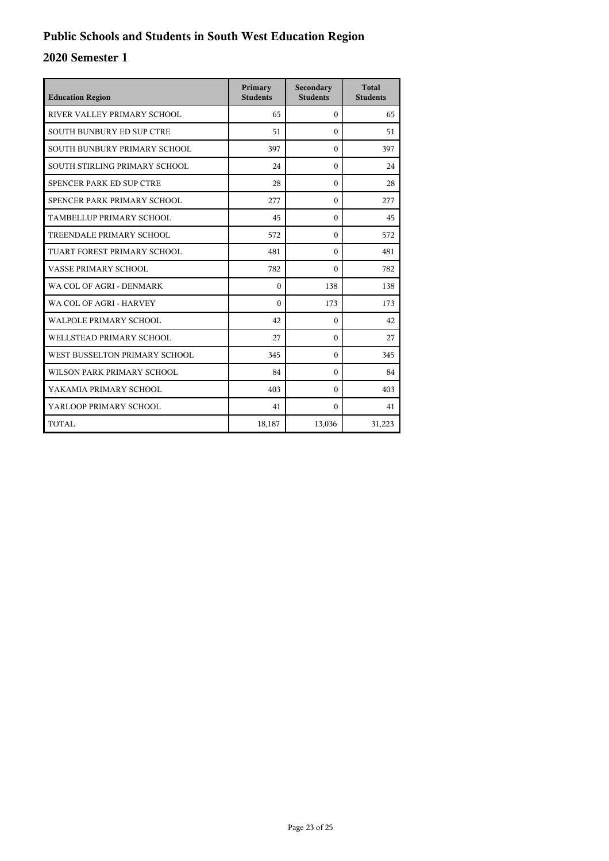| <b>Education Region</b>          | Primary<br><b>Students</b> | Secondary<br><b>Students</b> | <b>Total</b><br><b>Students</b> |
|----------------------------------|----------------------------|------------------------------|---------------------------------|
| RIVER VALLEY PRIMARY SCHOOL      | 65                         | $\Omega$                     | 65                              |
| <b>SOUTH BUNBURY ED SUP CTRE</b> | 51                         | $\Omega$                     | 51                              |
| SOUTH BUNBURY PRIMARY SCHOOL     | 397                        | $\Omega$                     | 397                             |
| SOUTH STIRLING PRIMARY SCHOOL    | 24                         | $\Omega$                     | 24                              |
| SPENCER PARK ED SUP CTRE         | 28                         | $\theta$                     | 28                              |
| SPENCER PARK PRIMARY SCHOOL      | 277                        | $\Omega$                     | 277                             |
| TAMBELLUP PRIMARY SCHOOL         | 45                         | $\theta$                     | 45                              |
| TREENDALE PRIMARY SCHOOL         | 572                        | $\Omega$                     | 572                             |
| TUART FOREST PRIMARY SCHOOL      | 481                        | $\Omega$                     | 481                             |
| VASSE PRIMARY SCHOOL             | 782                        | $\Omega$                     | 782                             |
| WA COL OF AGRI - DENMARK         | $\theta$                   | 138                          | 138                             |
| WA COL OF AGRI - HARVEY          | $\Omega$                   | 173                          | 173                             |
| <b>WALPOLE PRIMARY SCHOOL</b>    | 42                         | $\Omega$                     | 42                              |
| WELLSTEAD PRIMARY SCHOOL         | 27                         | $\Omega$                     | 27                              |
| WEST BUSSELTON PRIMARY SCHOOL    | 345                        | $\Omega$                     | 345                             |
| WILSON PARK PRIMARY SCHOOL       | 84                         | $\Omega$                     | 84                              |
| YAKAMIA PRIMARY SCHOOL           | 403                        | $\Omega$                     | 403                             |
| YARLOOP PRIMARY SCHOOL           | 41                         | $\Omega$                     | 41                              |
| TOTAL                            | 18,187                     | 13,036                       | 31,223                          |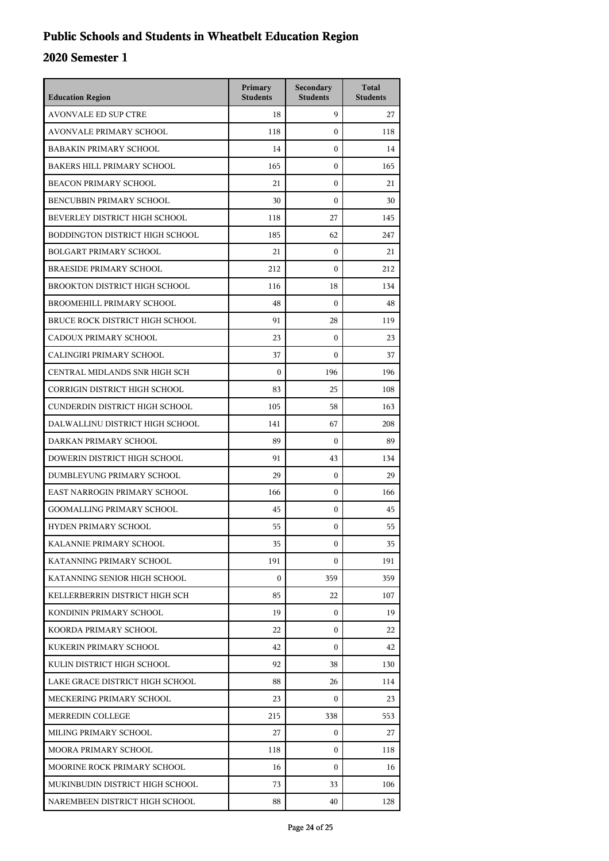## **Public Schools and Students in Wheatbelt Education Region**

| <b>Education Region</b>           | Primary<br><b>Students</b> | Secondary<br><b>Students</b> | <b>Total</b><br><b>Students</b> |
|-----------------------------------|----------------------------|------------------------------|---------------------------------|
| <b>AVONVALE ED SUP CTRE</b>       | 18                         | 9                            | 27                              |
| AVONVALE PRIMARY SCHOOL           | 118                        | $\mathbf{0}$                 | 118                             |
| <b>BABAKIN PRIMARY SCHOOL</b>     | 14                         | $\mathbf{0}$                 | 14                              |
| <b>BAKERS HILL PRIMARY SCHOOL</b> | 165                        | $\mathbf{0}$                 | 165                             |
| <b>BEACON PRIMARY SCHOOL</b>      | 21                         | $\mathbf{0}$                 | 21                              |
| BENCUBBIN PRIMARY SCHOOL          | 30                         | $\mathbf{0}$                 | 30                              |
| BEVERLEY DISTRICT HIGH SCHOOL     | 118                        | 27                           | 145                             |
| BODDINGTON DISTRICT HIGH SCHOOL   | 185                        | 62                           | 247                             |
| <b>BOLGART PRIMARY SCHOOL</b>     | 21                         | $\mathbf{0}$                 | 21                              |
| <b>BRAESIDE PRIMARY SCHOOL</b>    | 212                        | $\mathbf{0}$                 | 212                             |
| BROOKTON DISTRICT HIGH SCHOOL     | 116                        | 18                           | 134                             |
| BROOMEHILL PRIMARY SCHOOL         | 48                         | $\theta$                     | 48                              |
| BRUCE ROCK DISTRICT HIGH SCHOOL   | 91                         | 28                           | 119                             |
| CADOUX PRIMARY SCHOOL             | 23                         | $\mathbf{0}$                 | 23                              |
| CALINGIRI PRIMARY SCHOOL          | 37                         | $\boldsymbol{0}$             | 37                              |
| CENTRAL MIDLANDS SNR HIGH SCH     | $\mathbf{0}$               | 196                          | 196                             |
| CORRIGIN DISTRICT HIGH SCHOOL     | 83                         | 25                           | 108                             |
| CUNDERDIN DISTRICT HIGH SCHOOL    | 105                        | 58                           | 163                             |
| DALWALLINU DISTRICT HIGH SCHOOL   | 141                        | 67                           | 208                             |
| DARKAN PRIMARY SCHOOL             | 89                         | $\mathbf{0}$                 | 89                              |
| DOWERIN DISTRICT HIGH SCHOOL      | 91                         | 43                           | 134                             |
| DUMBLEYUNG PRIMARY SCHOOL         | 29                         | $\mathbf{0}$                 | 29                              |
| EAST NARROGIN PRIMARY SCHOOL      | 166                        | $\mathbf{0}$                 | 166                             |
| <b>GOOMALLING PRIMARY SCHOOL</b>  | 45                         | $\mathbf{0}$                 | 45                              |
| <b>HYDEN PRIMARY SCHOOL</b>       | 55                         | $\boldsymbol{0}$             | 55                              |
| KALANNIE PRIMARY SCHOOL           | 35                         | $\boldsymbol{0}$             | 35                              |
| KATANNING PRIMARY SCHOOL          | 191                        | $\Omega$                     | 191                             |
| KATANNING SENIOR HIGH SCHOOL      | $\boldsymbol{0}$           | 359                          | 359                             |
| KELLERBERRIN DISTRICT HIGH SCH    | 85                         | 22                           | 107                             |
| KONDININ PRIMARY SCHOOL           | 19                         | $\mathbf{0}$                 | 19                              |
| KOORDA PRIMARY SCHOOL             | 22                         | $\Omega$                     | 22                              |
| KUKERIN PRIMARY SCHOOL            | 42                         | $\Omega$                     | 42                              |
| KULIN DISTRICT HIGH SCHOOL        | 92                         | 38                           | 130                             |
| LAKE GRACE DISTRICT HIGH SCHOOL   | 88                         | 26                           | 114                             |
| MECKERING PRIMARY SCHOOL          | 23                         | 0                            | 23                              |
| MERREDIN COLLEGE                  | 215                        | 338                          | 553                             |
| MILING PRIMARY SCHOOL             | 27                         | 0                            | 27                              |
| MOORA PRIMARY SCHOOL              | 118                        | $\Omega$                     | 118                             |
| MOORINE ROCK PRIMARY SCHOOL       | 16                         | $\mathbf{0}$                 | 16                              |
| MUKINBUDIN DISTRICT HIGH SCHOOL   | 73                         | 33                           | 106                             |
| NAREMBEEN DISTRICT HIGH SCHOOL    | 88                         | 40                           | 128                             |